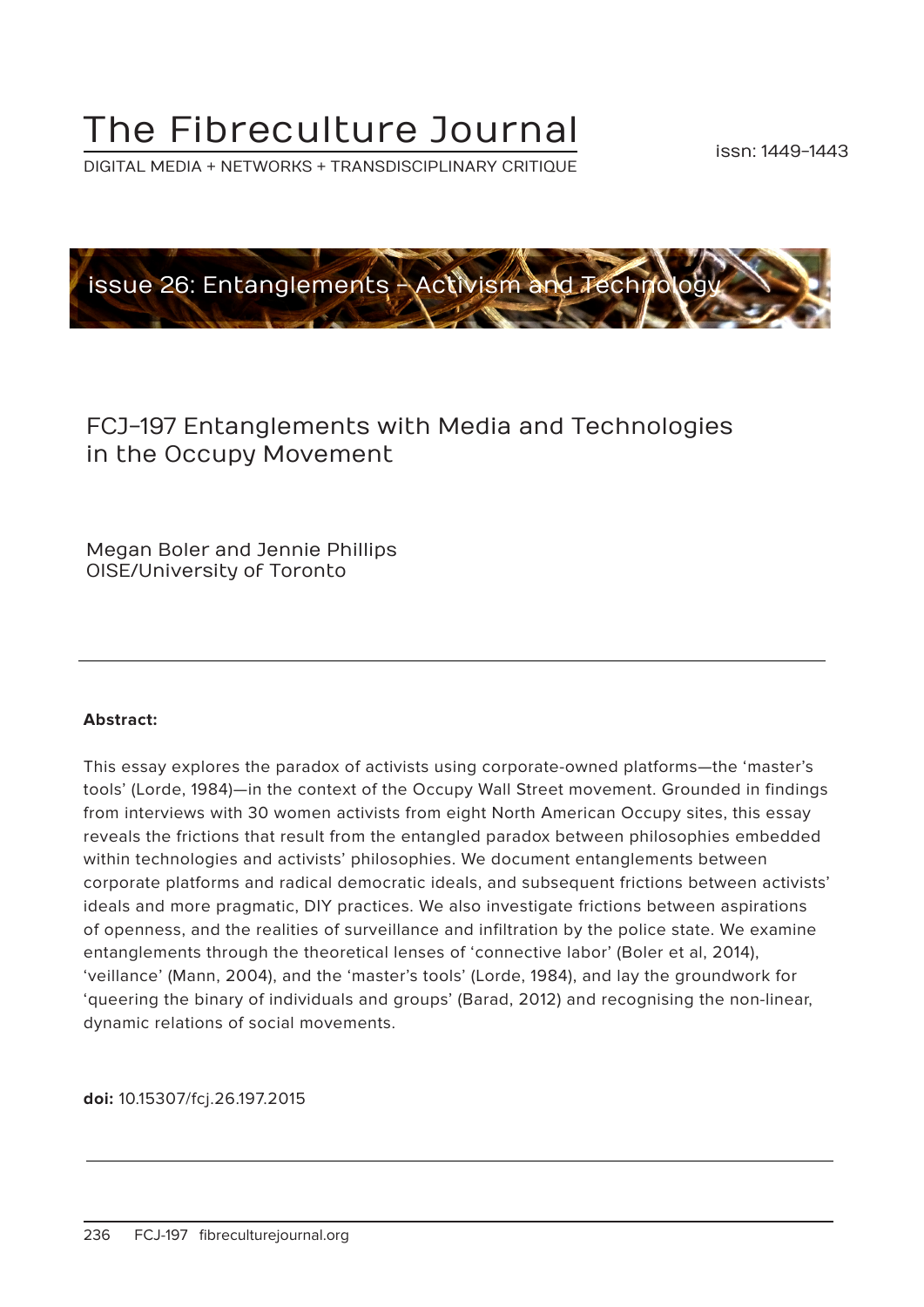# The Fibreculture Journal

DIGITAL MEDIA + NETWORKS + TRANSDISCIPLINARY CRITIQUE



# FCJ-197 Entanglements with Media and Technologies in the Occupy Movement

Megan Boler and Jennie Phillips OISE/University of Toronto

#### **Abstract:**

This essay explores the paradox of activists using corporate-owned platforms—the 'master's tools' (Lorde, 1984)—in the context of the Occupy Wall Street movement. Grounded in findings from interviews with 30 women activists from eight North American Occupy sites, this essay reveals the frictions that result from the entangled paradox between philosophies embedded within technologies and activists' philosophies. We document entanglements between corporate platforms and radical democratic ideals, and subsequent frictions between activists' ideals and more pragmatic, DIY practices. We also investigate frictions between aspirations of openness, and the realities of surveillance and infiltration by the police state. We examine entanglements through the theoretical lenses of 'connective labor' (Boler et al, 2014), 'veillance' (Mann, 2004), and the 'master's tools' (Lorde, 1984), and lay the groundwork for 'queering the binary of individuals and groups' (Barad, 2012) and recognising the non-linear, dynamic relations of social movements.

**doi:** 10.15307/fcj.26.197.2015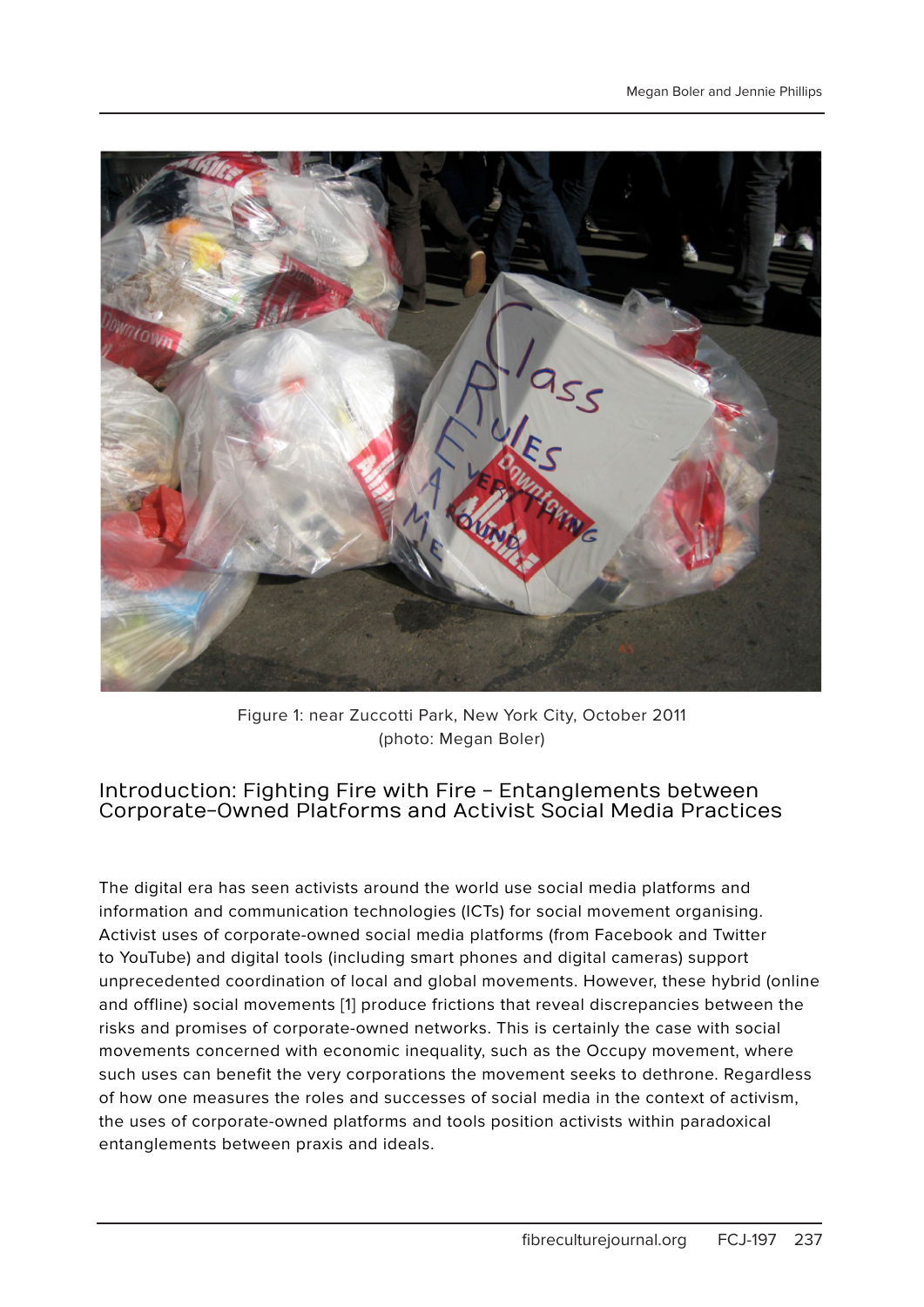

Figure 1: near Zuccotti Park, New York City, October 2011 (photo: Megan Boler)

#### Introduction: Fighting Fire with Fire - Entanglements between Corporate-Owned Platforms and Activist Social Media Practices

The digital era has seen activists around the world use social media platforms and information and communication technologies (ICTs) for social movement organising. Activist uses of corporate-owned social media platforms (from Facebook and Twitter to YouTube) and digital tools (including smart phones and digital cameras) support unprecedented coordination of local and global movements. However, these hybrid (online and offline) social movements [1] produce frictions that reveal discrepancies between the risks and promises of corporate-owned networks. This is certainly the case with social movements concerned with economic inequality, such as the Occupy movement, where such uses can benefit the very corporations the movement seeks to dethrone. Regardless of how one measures the roles and successes of social media in the context of activism, the uses of corporate-owned platforms and tools position activists within paradoxical entanglements between praxis and ideals.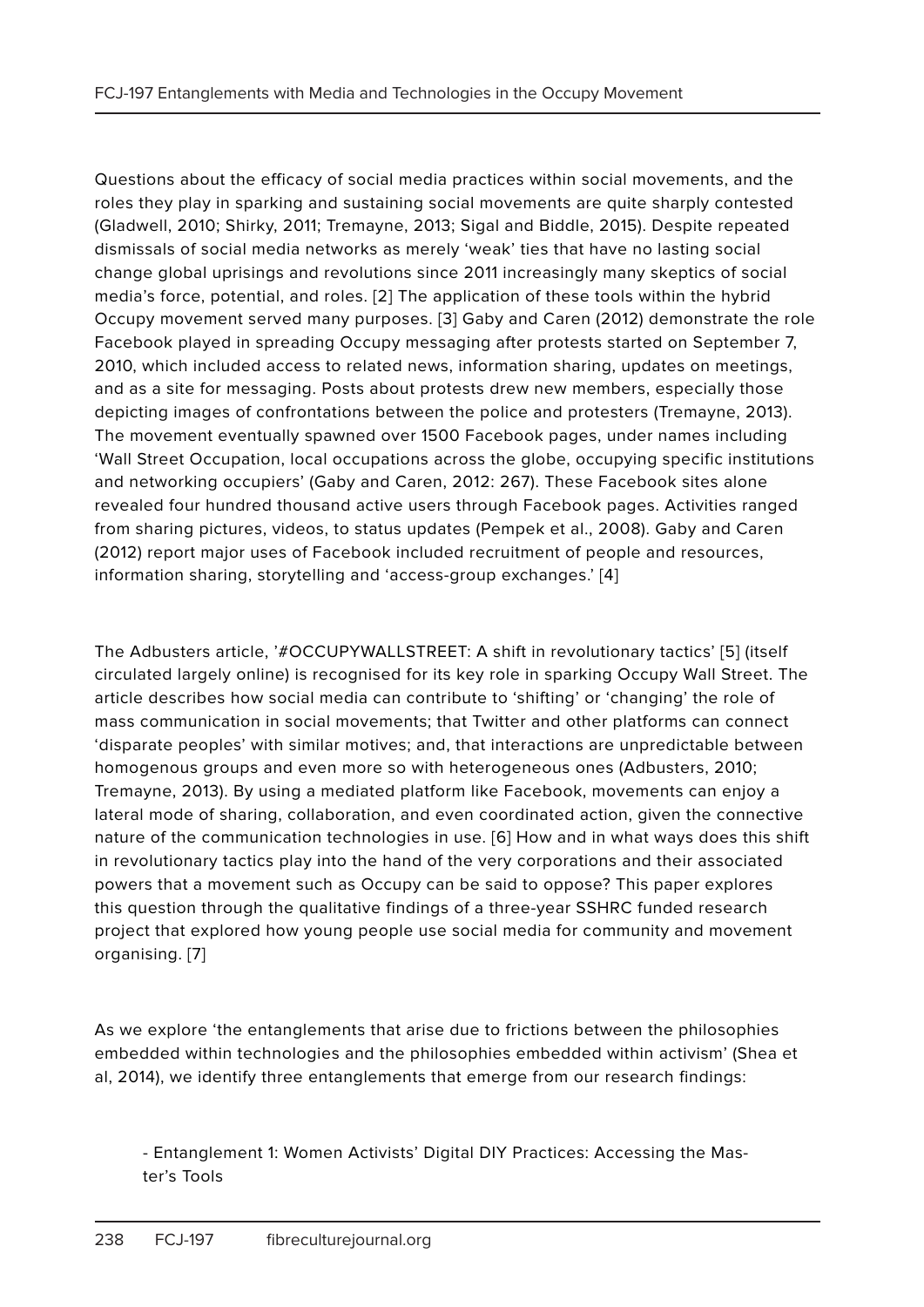Questions about the efficacy of social media practices within social movements, and the roles they play in sparking and sustaining social movements are quite sharply contested (Gladwell, 2010; Shirky, 2011; Tremayne, 2013; Sigal and Biddle, 2015). Despite repeated dismissals of social media networks as merely 'weak' ties that have no lasting social change global uprisings and revolutions since 2011 increasingly many skeptics of social media's force, potential, and roles. [2] The application of these tools within the hybrid Occupy movement served many purposes. [3] Gaby and Caren (2012) demonstrate the role Facebook played in spreading Occupy messaging after protests started on September 7, 2010, which included access to related news, information sharing, updates on meetings, and as a site for messaging. Posts about protests drew new members, especially those depicting images of confrontations between the police and protesters (Tremayne, 2013). The movement eventually spawned over 1500 Facebook pages, under names including 'Wall Street Occupation, local occupations across the globe, occupying specific institutions and networking occupiers' (Gaby and Caren, 2012: 267). These Facebook sites alone revealed four hundred thousand active users through Facebook pages. Activities ranged from sharing pictures, videos, to status updates (Pempek et al., 2008). Gaby and Caren (2012) report major uses of Facebook included recruitment of people and resources, information sharing, storytelling and 'access-group exchanges.' [4]

The Adbusters article, '#OCCUPYWALLSTREET: A shift in revolutionary tactics' [5] (itself circulated largely online) is recognised for its key role in sparking Occupy Wall Street. The article describes how social media can contribute to 'shifting' or 'changing' the role of mass communication in social movements; that Twitter and other platforms can connect 'disparate peoples' with similar motives; and, that interactions are unpredictable between homogenous groups and even more so with heterogeneous ones (Adbusters, 2010; Tremayne, 2013). By using a mediated platform like Facebook, movements can enjoy a lateral mode of sharing, collaboration, and even coordinated action, given the connective nature of the communication technologies in use. [6] How and in what ways does this shift in revolutionary tactics play into the hand of the very corporations and their associated powers that a movement such as Occupy can be said to oppose? This paper explores this question through the qualitative findings of a three-year SSHRC funded research project that explored how young people use social media for community and movement organising. [7]

As we explore 'the entanglements that arise due to frictions between the philosophies embedded within technologies and the philosophies embedded within activism' (Shea et al, 2014), we identify three entanglements that emerge from our research findings:

- Entanglement 1: Women Activists' Digital DIY Practices: Accessing the Master's Tools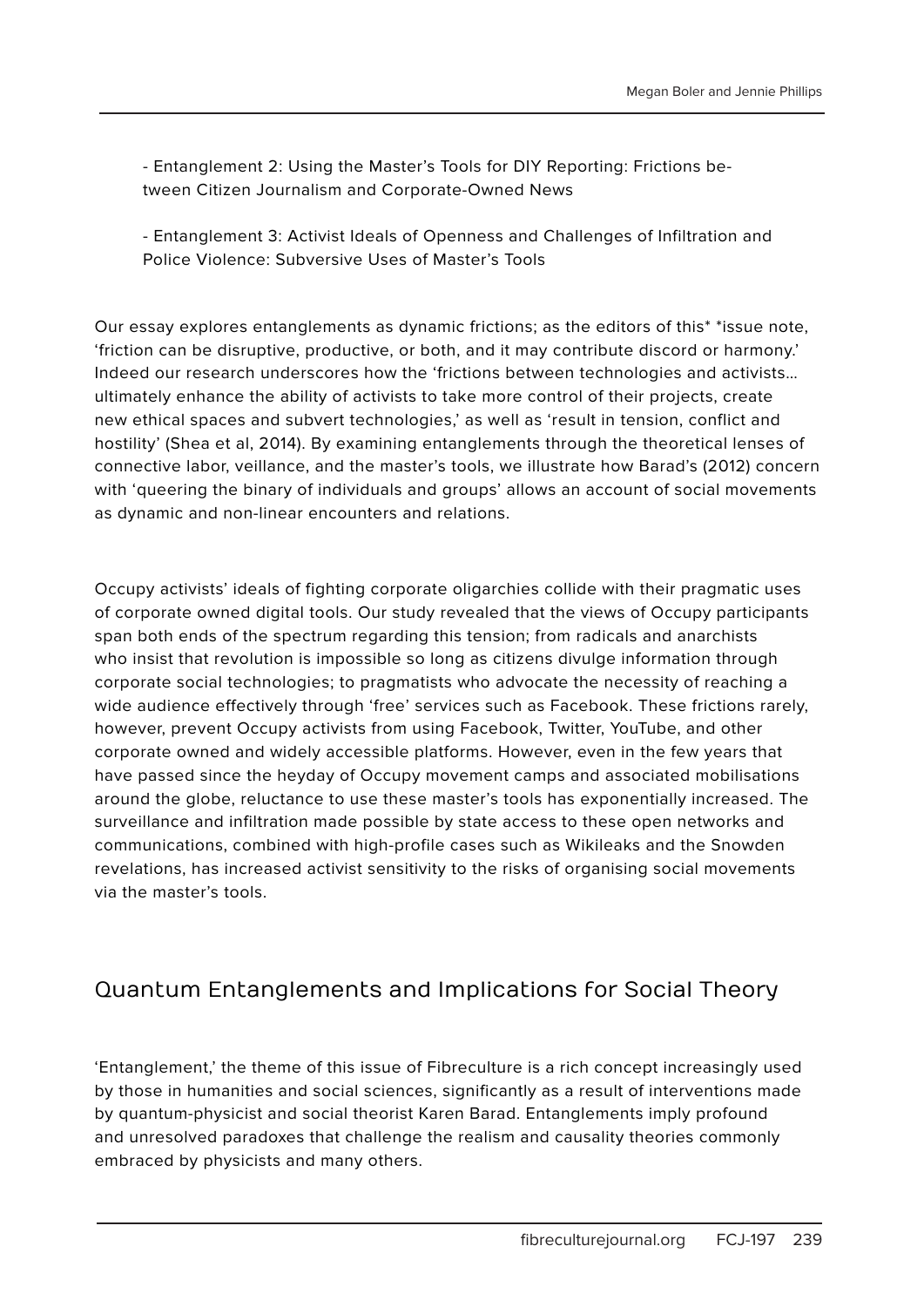- Entanglement 2: Using the Master's Tools for DIY Reporting: Frictions between Citizen Journalism and Corporate-Owned News

- Entanglement 3: Activist Ideals of Openness and Challenges of Infiltration and Police Violence: Subversive Uses of Master's Tools

Our essay explores entanglements as dynamic frictions; as the editors of this\* \*issue note, 'friction can be disruptive, productive, or both, and it may contribute discord or harmony.' Indeed our research underscores how the 'frictions between technologies and activists… ultimately enhance the ability of activists to take more control of their projects, create new ethical spaces and subvert technologies,' as well as 'result in tension, conflict and hostility' (Shea et al, 2014). By examining entanglements through the theoretical lenses of connective labor, veillance, and the master's tools, we illustrate how Barad's (2012) concern with 'queering the binary of individuals and groups' allows an account of social movements as dynamic and non-linear encounters and relations.

Occupy activists' ideals of fighting corporate oligarchies collide with their pragmatic uses of corporate owned digital tools. Our study revealed that the views of Occupy participants span both ends of the spectrum regarding this tension; from radicals and anarchists who insist that revolution is impossible so long as citizens divulge information through corporate social technologies; to pragmatists who advocate the necessity of reaching a wide audience effectively through 'free' services such as Facebook. These frictions rarely, however, prevent Occupy activists from using Facebook, Twitter, YouTube, and other corporate owned and widely accessible platforms. However, even in the few years that have passed since the heyday of Occupy movement camps and associated mobilisations around the globe, reluctance to use these master's tools has exponentially increased. The surveillance and infiltration made possible by state access to these open networks and communications, combined with high-profile cases such as Wikileaks and the Snowden revelations, has increased activist sensitivity to the risks of organising social movements via the master's tools.

### Quantum Entanglements and Implications for Social Theory

'Entanglement,' the theme of this issue of Fibreculture is a rich concept increasingly used by those in humanities and social sciences, significantly as a result of interventions made by quantum-physicist and social theorist Karen Barad. Entanglements imply profound and unresolved paradoxes that challenge the realism and causality theories commonly embraced by physicists and many others.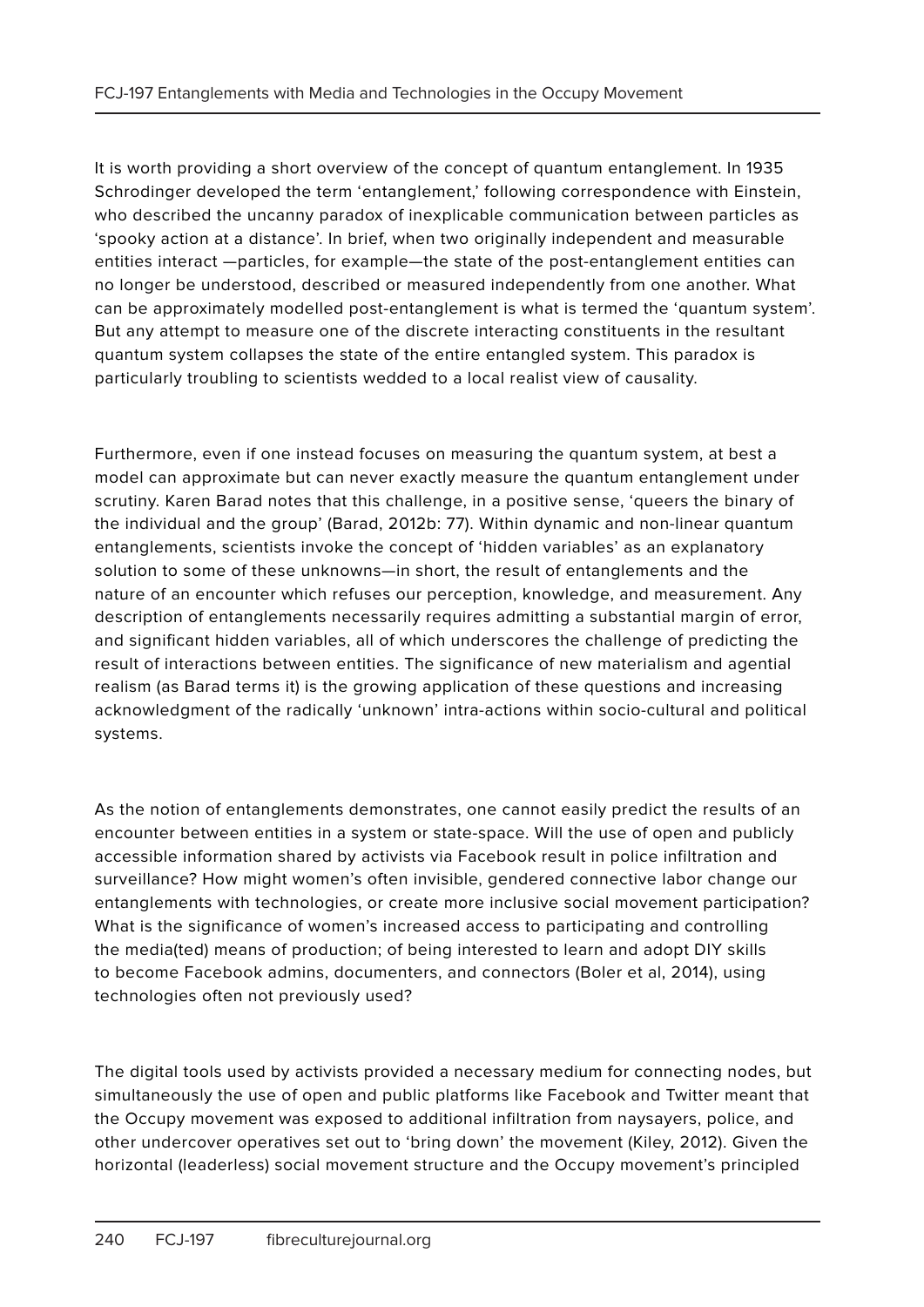It is worth providing a short overview of the concept of quantum entanglement. In 1935 Schrodinger developed the term 'entanglement,' following correspondence with Einstein, who described the uncanny paradox of inexplicable communication between particles as 'spooky action at a distance'. In brief, when two originally independent and measurable entities interact —particles, for example—the state of the post-entanglement entities can no longer be understood, described or measured independently from one another. What can be approximately modelled post-entanglement is what is termed the 'quantum system'. But any attempt to measure one of the discrete interacting constituents in the resultant quantum system collapses the state of the entire entangled system. This paradox is particularly troubling to scientists wedded to a local realist view of causality.

Furthermore, even if one instead focuses on measuring the quantum system, at best a model can approximate but can never exactly measure the quantum entanglement under scrutiny. Karen Barad notes that this challenge, in a positive sense, 'queers the binary of the individual and the group' (Barad, 2012b: 77). Within dynamic and non-linear quantum entanglements, scientists invoke the concept of 'hidden variables' as an explanatory solution to some of these unknowns—in short, the result of entanglements and the nature of an encounter which refuses our perception, knowledge, and measurement. Any description of entanglements necessarily requires admitting a substantial margin of error, and significant hidden variables, all of which underscores the challenge of predicting the result of interactions between entities. The significance of new materialism and agential realism (as Barad terms it) is the growing application of these questions and increasing acknowledgment of the radically 'unknown' intra-actions within socio-cultural and political systems.

As the notion of entanglements demonstrates, one cannot easily predict the results of an encounter between entities in a system or state-space. Will the use of open and publicly accessible information shared by activists via Facebook result in police infiltration and surveillance? How might women's often invisible, gendered connective labor change our entanglements with technologies, or create more inclusive social movement participation? What is the significance of women's increased access to participating and controlling the media(ted) means of production; of being interested to learn and adopt DIY skills to become Facebook admins, documenters, and connectors (Boler et al, 2014), using technologies often not previously used?

The digital tools used by activists provided a necessary medium for connecting nodes, but simultaneously the use of open and public platforms like Facebook and Twitter meant that the Occupy movement was exposed to additional infiltration from naysayers, police, and other undercover operatives set out to 'bring down' the movement (Kiley, 2012). Given the horizontal (leaderless) social movement structure and the Occupy movement's principled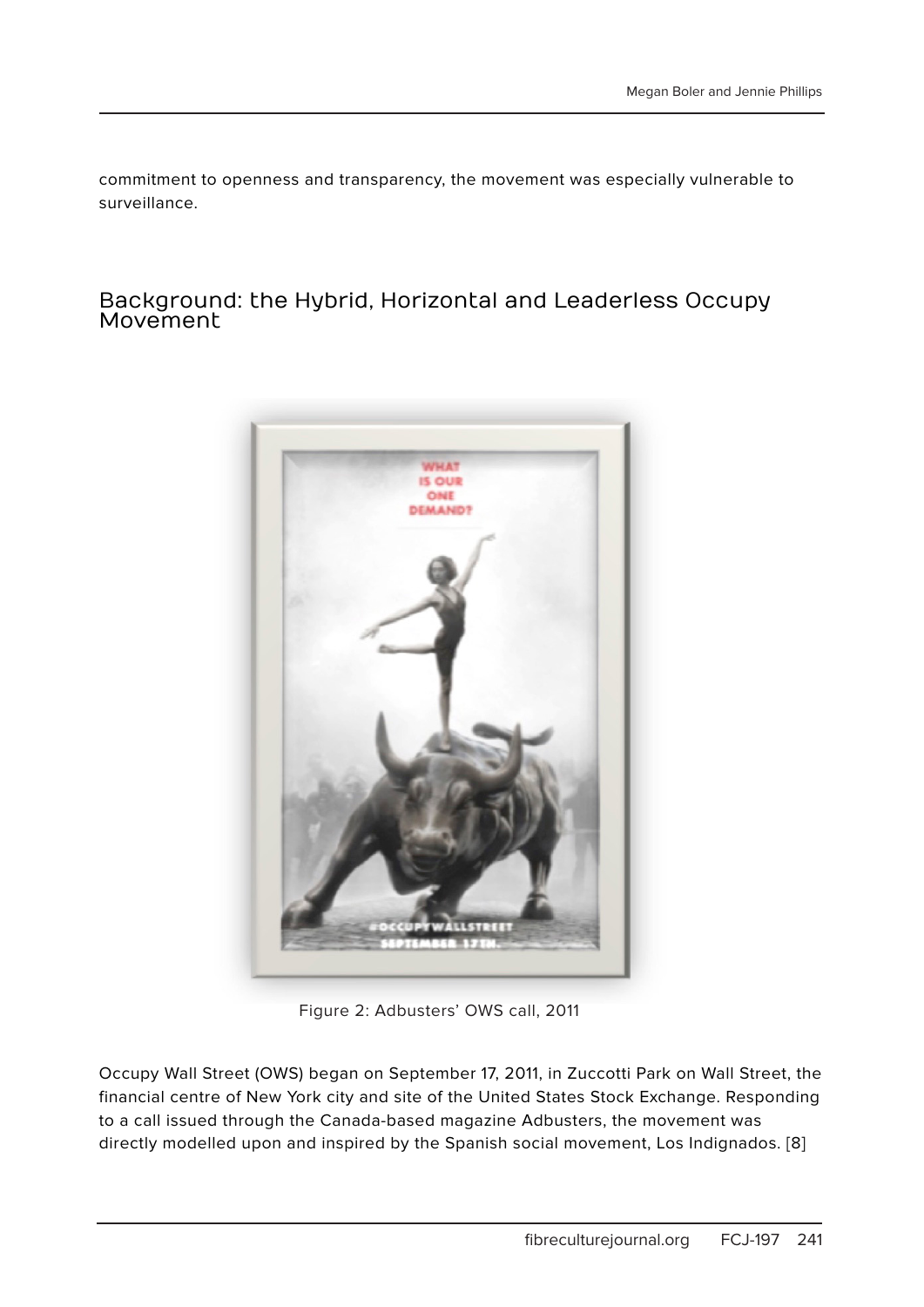commitment to openness and transparency, the movement was especially vulnerable to surveillance.

#### Background: the Hybrid, Horizontal and Leaderless Occupy Movement



Figure 2: Adbusters' OWS call, 2011

Occupy Wall Street (OWS) began on September 17, 2011, in Zuccotti Park on Wall Street, the financial centre of New York city and site of the United States Stock Exchange. Responding to a call issued through the Canada-based magazine Adbusters, the movement was directly modelled upon and inspired by the Spanish social movement, Los Indignados. [8]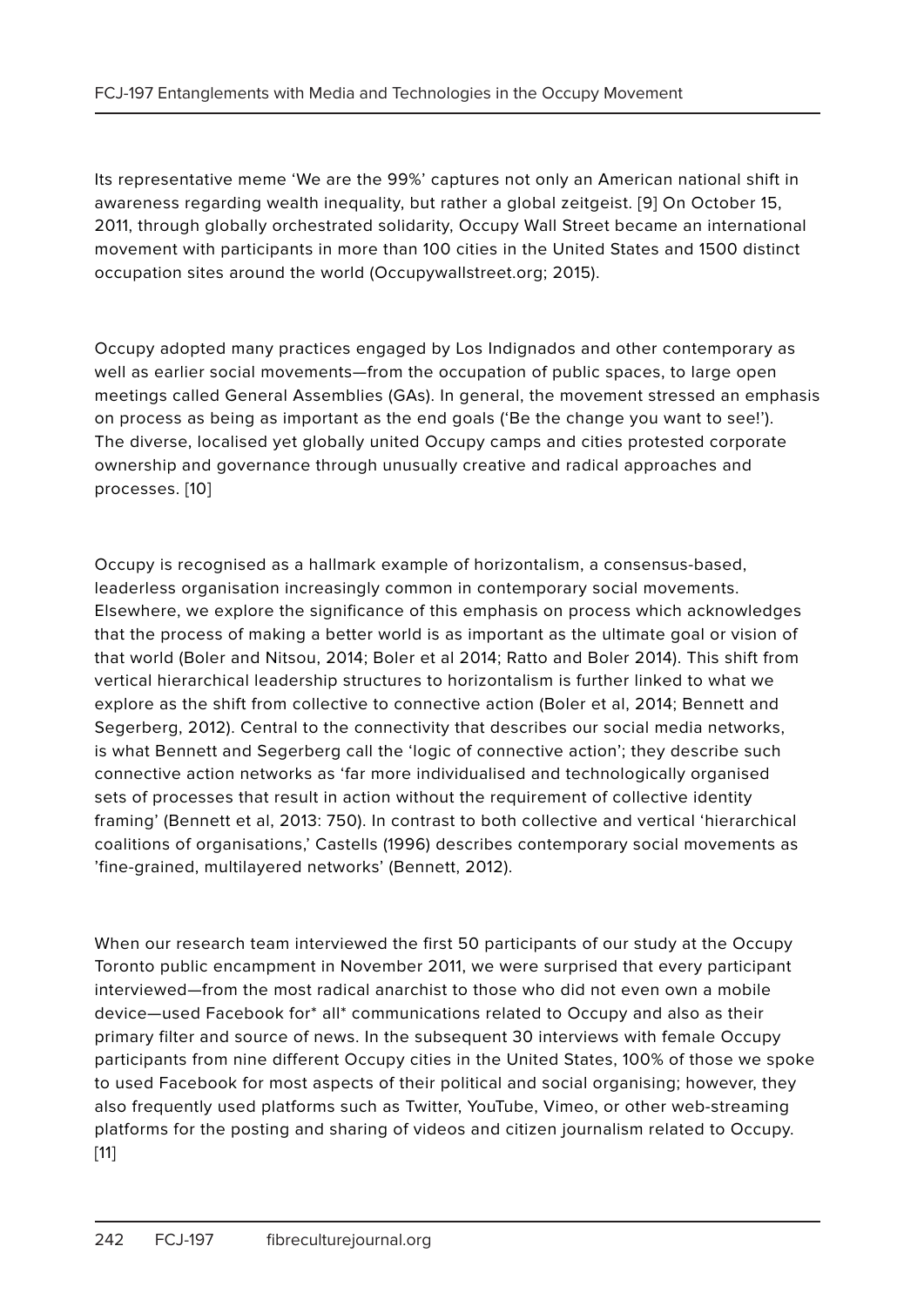Its representative meme 'We are the 99%' captures not only an American national shift in awareness regarding wealth inequality, but rather a global zeitgeist. [9] On October 15, 2011, through globally orchestrated solidarity, Occupy Wall Street became an international movement with participants in more than 100 cities in the United States and 1500 distinct occupation sites around the world (Occupywallstreet.org; 2015).

Occupy adopted many practices engaged by Los Indignados and other contemporary as well as earlier social movements—from the occupation of public spaces, to large open meetings called General Assemblies (GAs). In general, the movement stressed an emphasis on process as being as important as the end goals ('Be the change you want to see!'). The diverse, localised yet globally united Occupy camps and cities protested corporate ownership and governance through unusually creative and radical approaches and processes. [10]

Occupy is recognised as a hallmark example of horizontalism, a consensus-based, leaderless organisation increasingly common in contemporary social movements. Elsewhere, we explore the significance of this emphasis on process which acknowledges that the process of making a better world is as important as the ultimate goal or vision of that world (Boler and Nitsou, 2014; Boler et al 2014; Ratto and Boler 2014). This shift from vertical hierarchical leadership structures to horizontalism is further linked to what we explore as the shift from collective to connective action (Boler et al, 2014; Bennett and Segerberg, 2012). Central to the connectivity that describes our social media networks, is what Bennett and Segerberg call the 'logic of connective action'; they describe such connective action networks as 'far more individualised and technologically organised sets of processes that result in action without the requirement of collective identity framing' (Bennett et al, 2013: 750). In contrast to both collective and vertical 'hierarchical coalitions of organisations,' Castells (1996) describes contemporary social movements as 'fine-grained, multilayered networks' (Bennett, 2012).

When our research team interviewed the first 50 participants of our study at the Occupy Toronto public encampment in November 2011, we were surprised that every participant interviewed—from the most radical anarchist to those who did not even own a mobile device—used Facebook for\* all\* communications related to Occupy and also as their primary filter and source of news. In the subsequent 30 interviews with female Occupy participants from nine different Occupy cities in the United States, 100% of those we spoke to used Facebook for most aspects of their political and social organising; however, they also frequently used platforms such as Twitter, YouTube, Vimeo, or other web-streaming platforms for the posting and sharing of videos and citizen journalism related to Occupy. [11]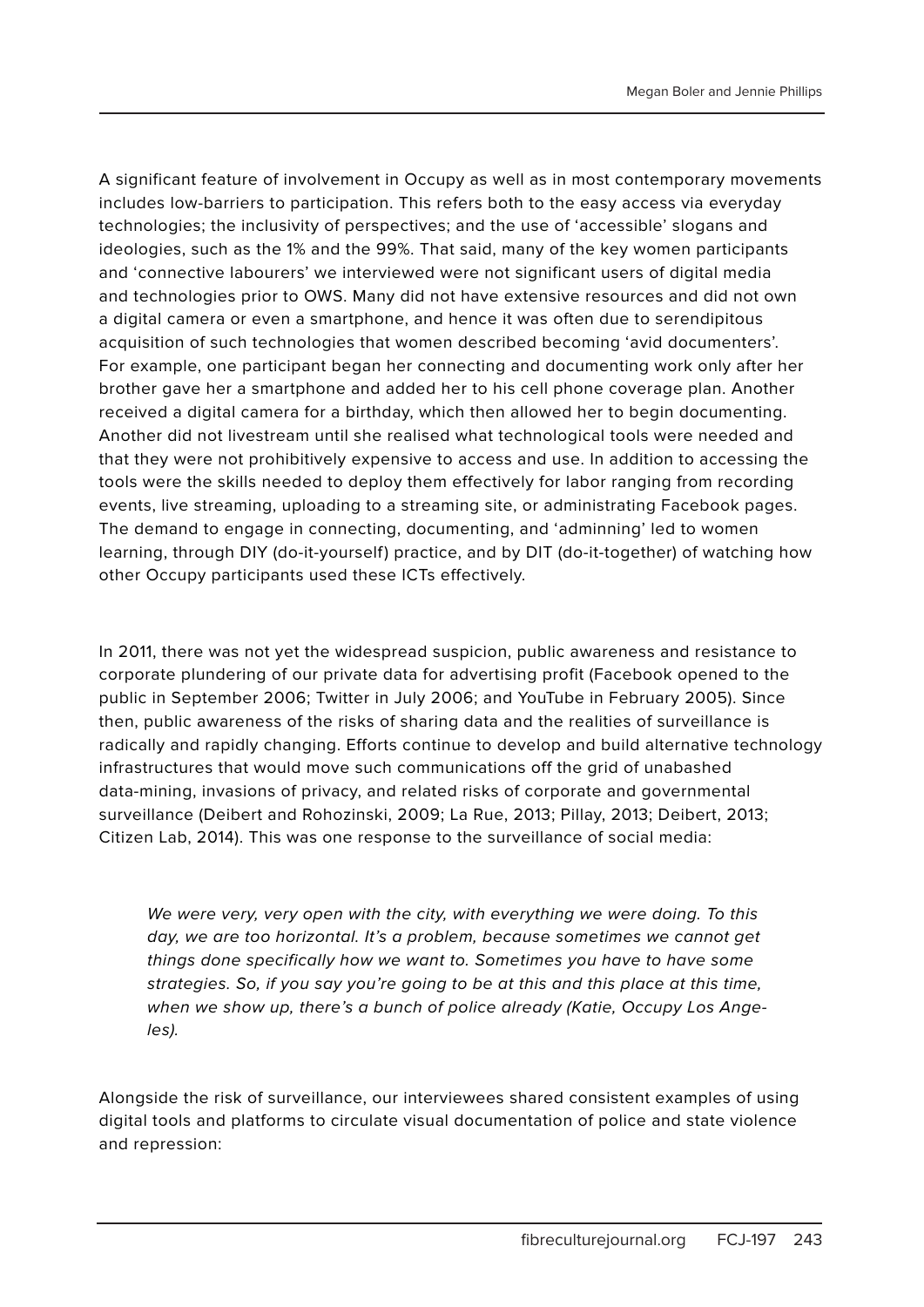A significant feature of involvement in Occupy as well as in most contemporary movements includes low-barriers to participation. This refers both to the easy access via everyday technologies; the inclusivity of perspectives; and the use of 'accessible' slogans and ideologies, such as the 1% and the 99%. That said, many of the key women participants and 'connective labourers' we interviewed were not significant users of digital media and technologies prior to OWS. Many did not have extensive resources and did not own a digital camera or even a smartphone, and hence it was often due to serendipitous acquisition of such technologies that women described becoming 'avid documenters'. For example, one participant began her connecting and documenting work only after her brother gave her a smartphone and added her to his cell phone coverage plan. Another received a digital camera for a birthday, which then allowed her to begin documenting. Another did not livestream until she realised what technological tools were needed and that they were not prohibitively expensive to access and use. In addition to accessing the tools were the skills needed to deploy them effectively for labor ranging from recording events, live streaming, uploading to a streaming site, or administrating Facebook pages. The demand to engage in connecting, documenting, and 'adminning' led to women learning, through DIY (do-it-yourself) practice, and by DIT (do-it-together) of watching how other Occupy participants used these ICTs effectively.

In 2011, there was not yet the widespread suspicion, public awareness and resistance to corporate plundering of our private data for advertising profit (Facebook opened to the public in September 2006; Twitter in July 2006; and YouTube in February 2005). Since then, public awareness of the risks of sharing data and the realities of surveillance is radically and rapidly changing. Efforts continue to develop and build alternative technology infrastructures that would move such communications off the grid of unabashed data-mining, invasions of privacy, and related risks of corporate and governmental surveillance (Deibert and Rohozinski, 2009; La Rue, 2013; Pillay, 2013; Deibert, 2013; Citizen Lab, 2014). This was one response to the surveillance of social media:

We were very, very open with the city, with everything we were doing. To this day, we are too horizontal. It's a problem, because sometimes we cannot get things done specifically how we want to. Sometimes you have to have some strategies. So, if you say you're going to be at this and this place at this time, when we show up, there's a bunch of police already (Katie, Occupy Los Angeles).

Alongside the risk of surveillance, our interviewees shared consistent examples of using digital tools and platforms to circulate visual documentation of police and state violence and repression: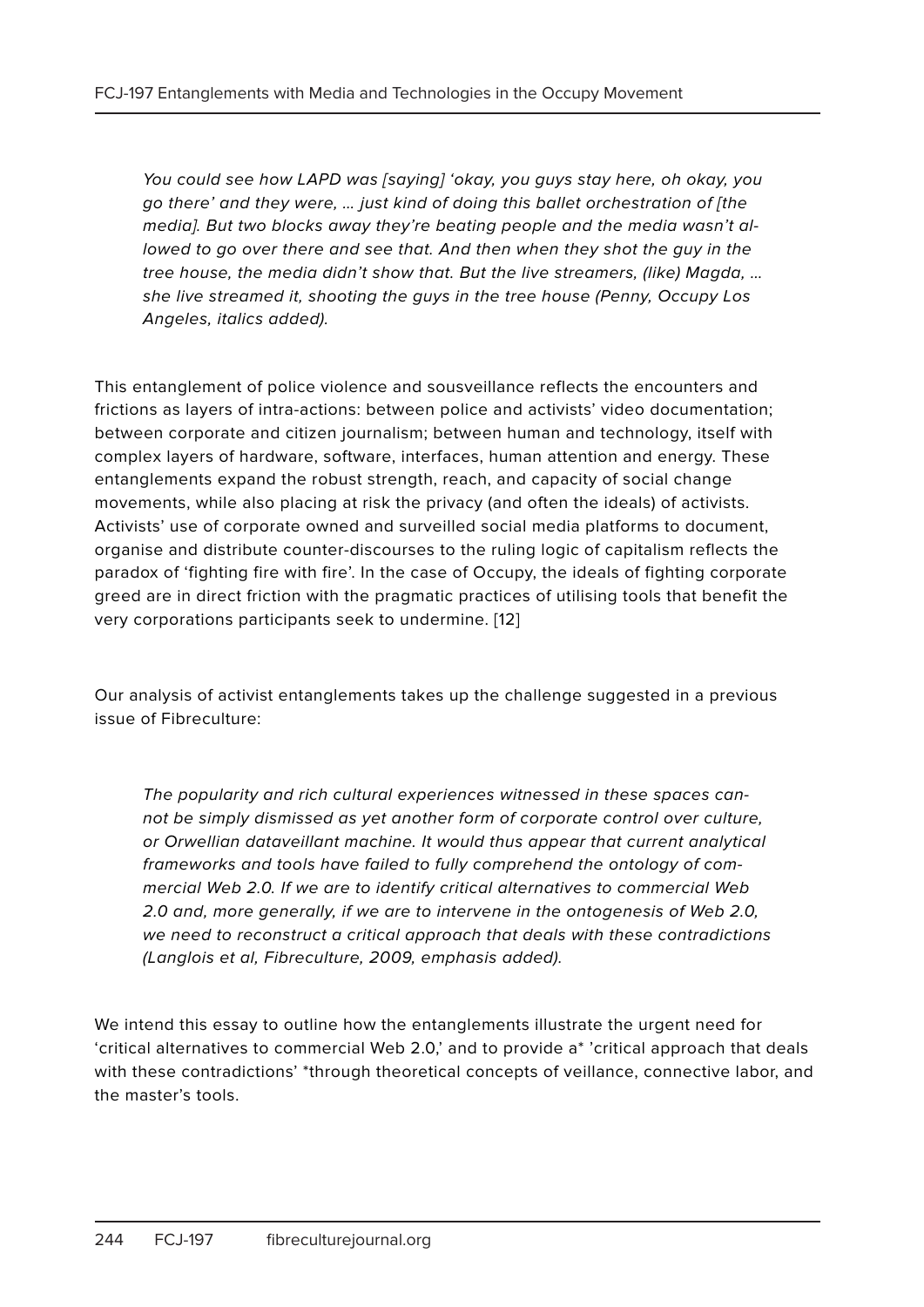You could see how LAPD was [saying] 'okay, you guys stay here, oh okay, you go there' and they were, … just kind of doing this ballet orchestration of [the media]. But two blocks away they're beating people and the media wasn't allowed to go over there and see that. And then when they shot the guy in the tree house, the media didn't show that. But the live streamers, (like) Magda, … she live streamed it, shooting the guys in the tree house (Penny, Occupy Los Angeles, italics added).

This entanglement of police violence and sousveillance reflects the encounters and frictions as layers of intra-actions: between police and activists' video documentation; between corporate and citizen journalism; between human and technology, itself with complex layers of hardware, software, interfaces, human attention and energy. These entanglements expand the robust strength, reach, and capacity of social change movements, while also placing at risk the privacy (and often the ideals) of activists. Activists' use of corporate owned and surveilled social media platforms to document, organise and distribute counter-discourses to the ruling logic of capitalism reflects the paradox of 'fighting fire with fire'. In the case of Occupy, the ideals of fighting corporate greed are in direct friction with the pragmatic practices of utilising tools that benefit the very corporations participants seek to undermine. [12]

Our analysis of activist entanglements takes up the challenge suggested in a previous issue of Fibreculture:

The popularity and rich cultural experiences witnessed in these spaces cannot be simply dismissed as yet another form of corporate control over culture, or Orwellian dataveillant machine. It would thus appear that current analytical frameworks and tools have failed to fully comprehend the ontology of commercial Web 2.0. If we are to identify critical alternatives to commercial Web 2.0 and, more generally, if we are to intervene in the ontogenesis of Web 2.0, we need to reconstruct a critical approach that deals with these contradictions (Langlois et al, Fibreculture, 2009, emphasis added).

We intend this essay to outline how the entanglements illustrate the urgent need for 'critical alternatives to commercial Web 2.0,' and to provide a\* 'critical approach that deals with these contradictions' \*through theoretical concepts of veillance, connective labor, and the master's tools.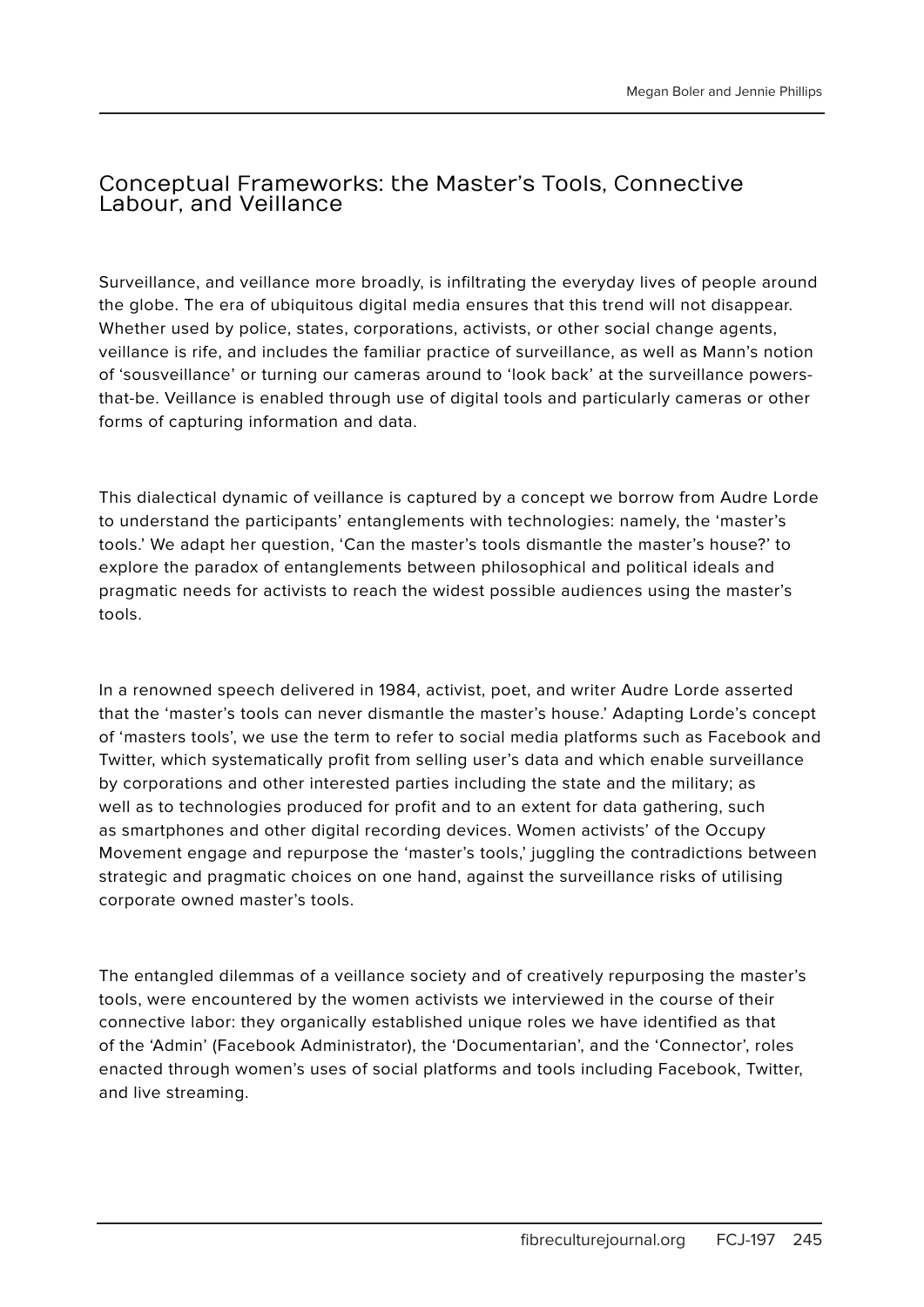#### Conceptual Frameworks: the Master's Tools, Connective Labour, and Veillance

Surveillance, and veillance more broadly, is infiltrating the everyday lives of people around the globe. The era of ubiquitous digital media ensures that this trend will not disappear. Whether used by police, states, corporations, activists, or other social change agents, veillance is rife, and includes the familiar practice of surveillance, as well as Mann's notion of 'sousveillance' or turning our cameras around to 'look back' at the surveillance powersthat-be. Veillance is enabled through use of digital tools and particularly cameras or other forms of capturing information and data.

This dialectical dynamic of veillance is captured by a concept we borrow from Audre Lorde to understand the participants' entanglements with technologies: namely, the 'master's tools.' We adapt her question, 'Can the master's tools dismantle the master's house?' to explore the paradox of entanglements between philosophical and political ideals and pragmatic needs for activists to reach the widest possible audiences using the master's tools.

In a renowned speech delivered in 1984, activist, poet, and writer Audre Lorde asserted that the 'master's tools can never dismantle the master's house.' Adapting Lorde's concept of 'masters tools', we use the term to refer to social media platforms such as Facebook and Twitter, which systematically profit from selling user's data and which enable surveillance by corporations and other interested parties including the state and the military; as well as to technologies produced for profit and to an extent for data gathering, such as smartphones and other digital recording devices. Women activists' of the Occupy Movement engage and repurpose the 'master's tools,' juggling the contradictions between strategic and pragmatic choices on one hand, against the surveillance risks of utilising corporate owned master's tools.

The entangled dilemmas of a veillance society and of creatively repurposing the master's tools, were encountered by the women activists we interviewed in the course of their connective labor: they organically established unique roles we have identified as that of the 'Admin' (Facebook Administrator), the 'Documentarian', and the 'Connector', roles enacted through women's uses of social platforms and tools including Facebook, Twitter, and live streaming.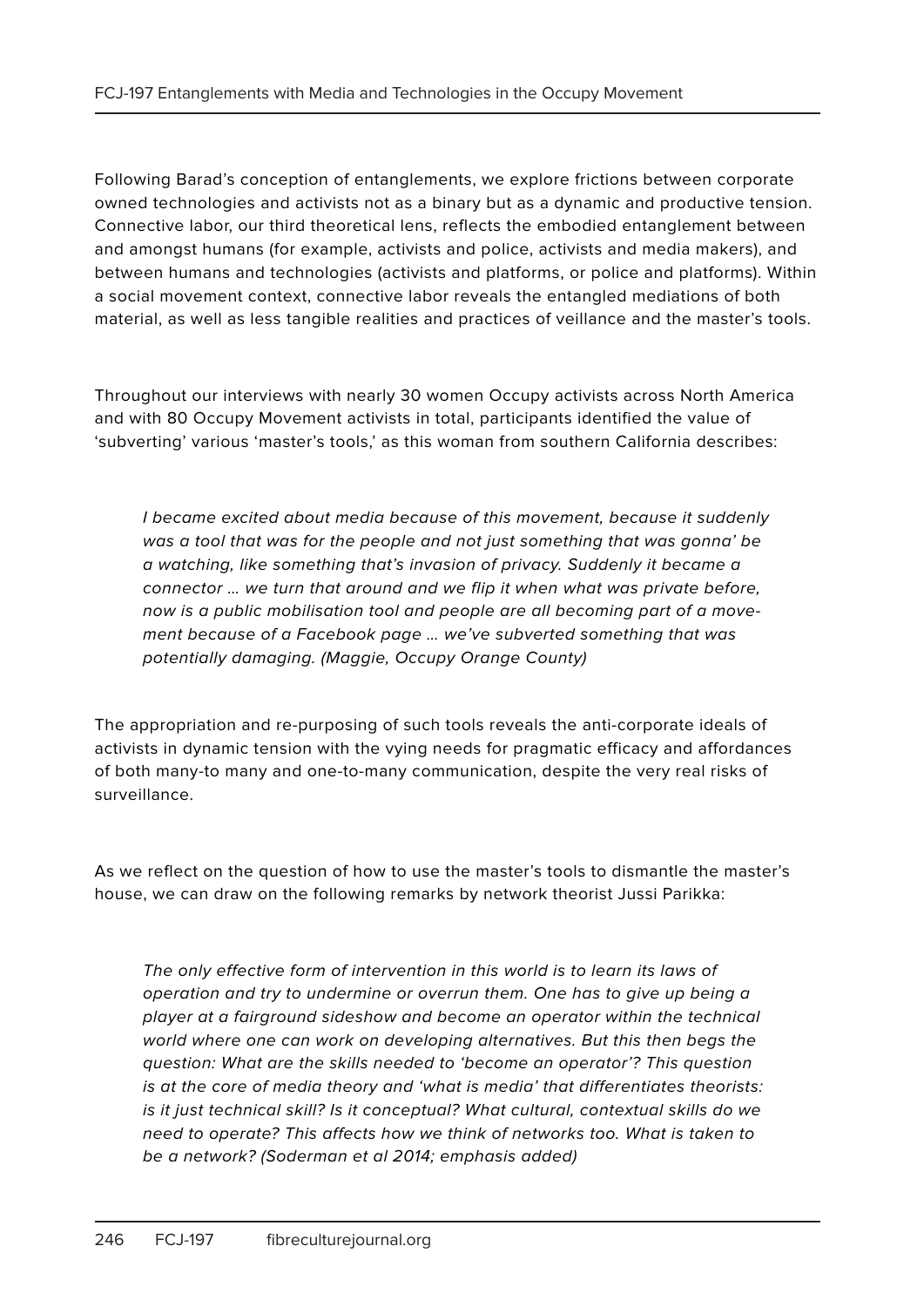Following Barad's conception of entanglements, we explore frictions between corporate owned technologies and activists not as a binary but as a dynamic and productive tension. Connective labor, our third theoretical lens, reflects the embodied entanglement between and amongst humans (for example, activists and police, activists and media makers), and between humans and technologies (activists and platforms, or police and platforms). Within a social movement context, connective labor reveals the entangled mediations of both material, as well as less tangible realities and practices of veillance and the master's tools.

Throughout our interviews with nearly 30 women Occupy activists across North America and with 80 Occupy Movement activists in total, participants identified the value of 'subverting' various 'master's tools,' as this woman from southern California describes:

I became excited about media because of this movement, because it suddenly was a tool that was for the people and not just something that was gonna' be a watching, like something that's invasion of privacy. Suddenly it became a connector … we turn that around and we flip it when what was private before, now is a public mobilisation tool and people are all becoming part of a movement because of a Facebook page … we've subverted something that was potentially damaging. (Maggie, Occupy Orange County)

The appropriation and re-purposing of such tools reveals the anti-corporate ideals of activists in dynamic tension with the vying needs for pragmatic efficacy and affordances of both many-to many and one-to-many communication, despite the very real risks of surveillance.

As we reflect on the question of how to use the master's tools to dismantle the master's house, we can draw on the following remarks by network theorist Jussi Parikka:

The only effective form of intervention in this world is to learn its laws of operation and try to undermine or overrun them. One has to give up being a player at a fairground sideshow and become an operator within the technical world where one can work on developing alternatives. But this then begs the question: What are the skills needed to 'become an operator'? This question is at the core of media theory and 'what is media' that differentiates theorists: is it just technical skill? Is it conceptual? What cultural, contextual skills do we need to operate? This affects how we think of networks too. What is taken to be a network? (Soderman et al 2014; emphasis added)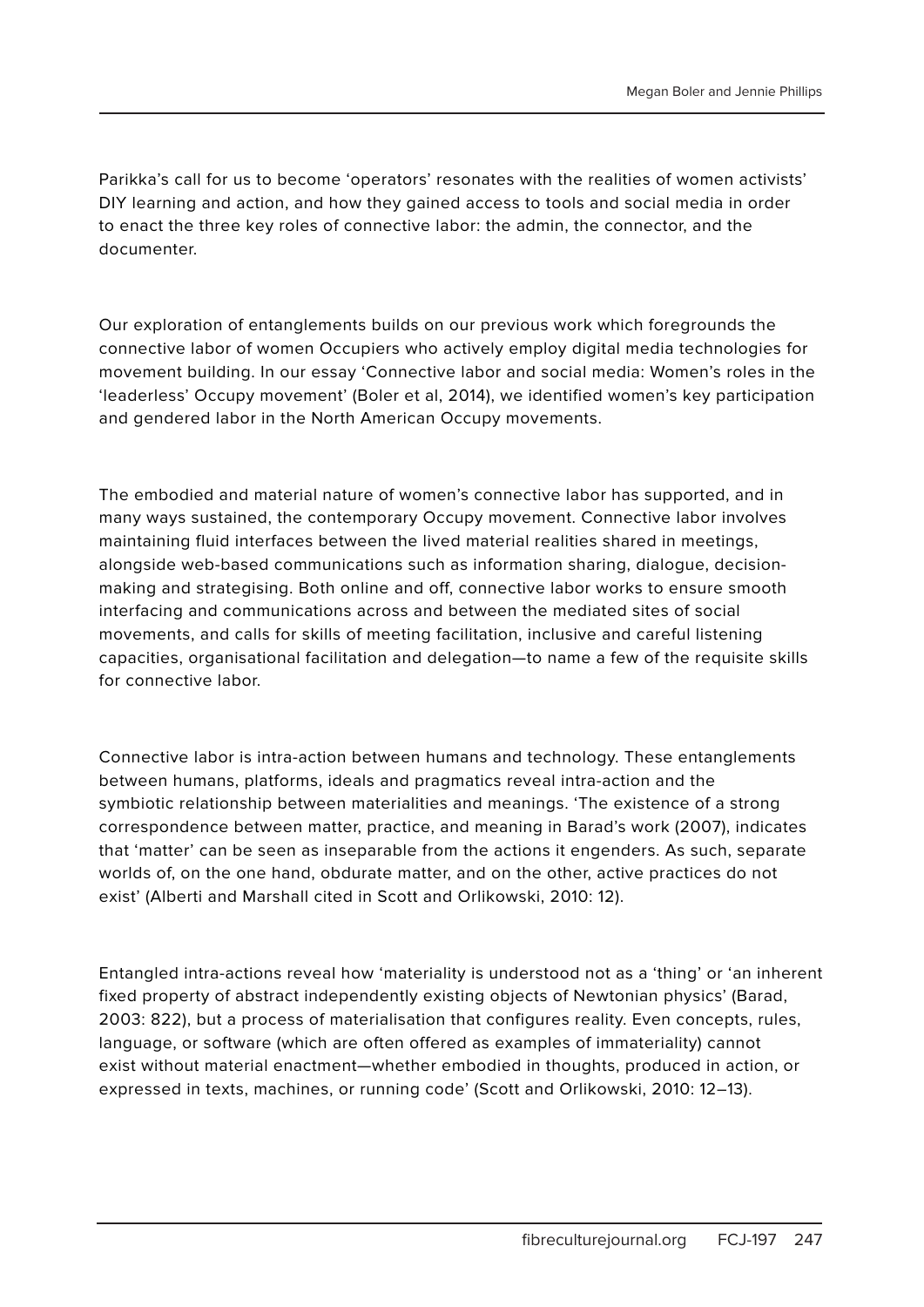Parikka's call for us to become 'operators' resonates with the realities of women activists' DIY learning and action, and how they gained access to tools and social media in order to enact the three key roles of connective labor: the admin, the connector, and the documenter.

Our exploration of entanglements builds on our previous work which foregrounds the connective labor of women Occupiers who actively employ digital media technologies for movement building. In our essay 'Connective labor and social media: Women's roles in the 'leaderless' Occupy movement' (Boler et al, 2014), we identified women's key participation and gendered labor in the North American Occupy movements.

The embodied and material nature of women's connective labor has supported, and in many ways sustained, the contemporary Occupy movement. Connective labor involves maintaining fluid interfaces between the lived material realities shared in meetings, alongside web-based communications such as information sharing, dialogue, decisionmaking and strategising. Both online and off, connective labor works to ensure smooth interfacing and communications across and between the mediated sites of social movements, and calls for skills of meeting facilitation, inclusive and careful listening capacities, organisational facilitation and delegation—to name a few of the requisite skills for connective labor.

Connective labor is intra-action between humans and technology. These entanglements between humans, platforms, ideals and pragmatics reveal intra-action and the symbiotic relationship between materialities and meanings. 'The existence of a strong correspondence between matter, practice, and meaning in Barad's work (2007), indicates that 'matter' can be seen as inseparable from the actions it engenders. As such, separate worlds of, on the one hand, obdurate matter, and on the other, active practices do not exist' (Alberti and Marshall cited in Scott and Orlikowski, 2010: 12).

Entangled intra-actions reveal how 'materiality is understood not as a 'thing' or 'an inherent fixed property of abstract independently existing objects of Newtonian physics' (Barad, 2003: 822), but a process of materialisation that configures reality. Even concepts, rules, language, or software (which are often offered as examples of immateriality) cannot exist without material enactment—whether embodied in thoughts, produced in action, or expressed in texts, machines, or running code' (Scott and Orlikowski, 2010: 12–13).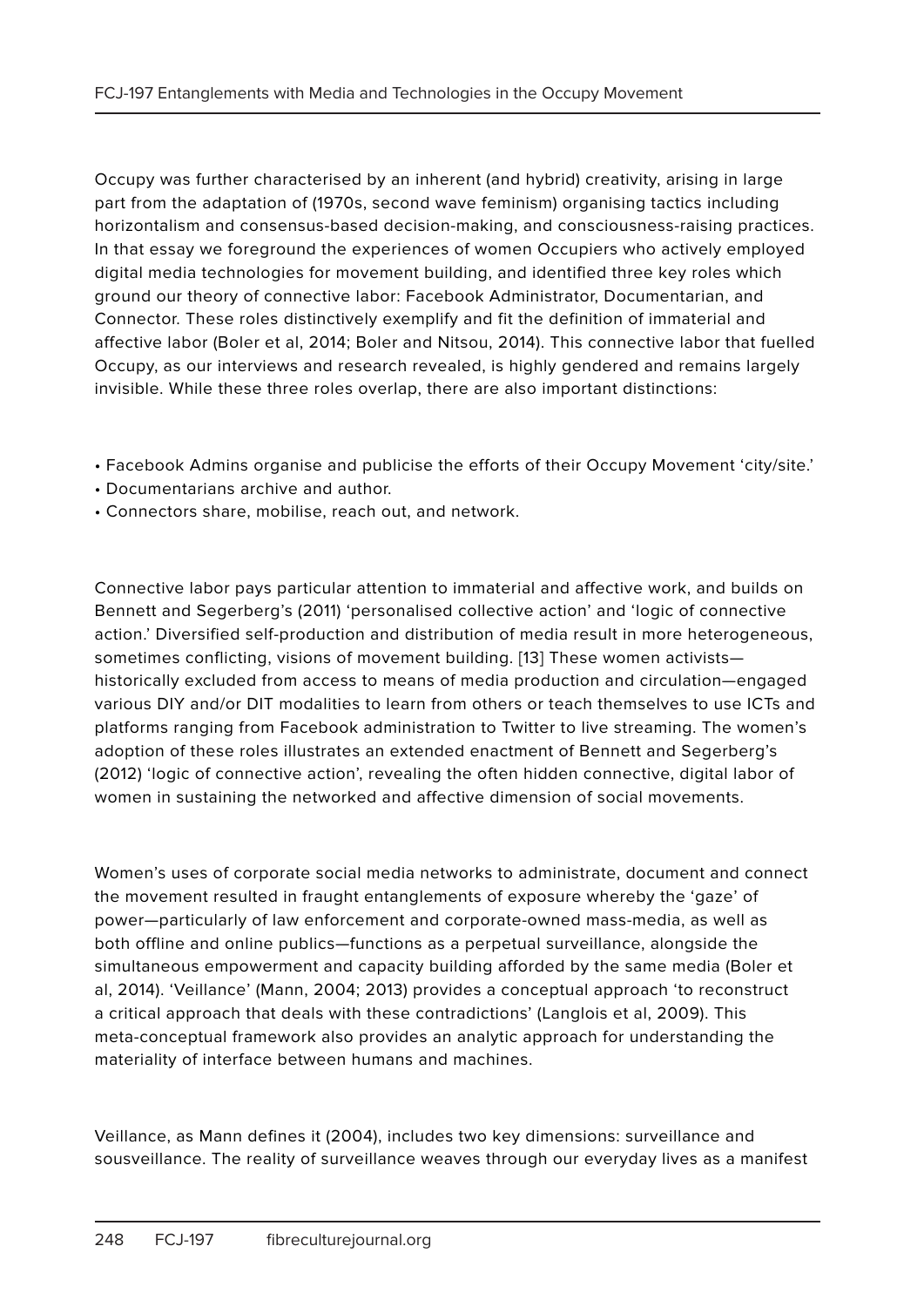Occupy was further characterised by an inherent (and hybrid) creativity, arising in large part from the adaptation of (1970s, second wave feminism) organising tactics including horizontalism and consensus-based decision-making, and consciousness-raising practices. In that essay we foreground the experiences of women Occupiers who actively employed digital media technologies for movement building, and identified three key roles which ground our theory of connective labor: Facebook Administrator, Documentarian, and Connector. These roles distinctively exemplify and fit the definition of immaterial and affective labor (Boler et al, 2014; Boler and Nitsou, 2014). This connective labor that fuelled Occupy, as our interviews and research revealed, is highly gendered and remains largely invisible. While these three roles overlap, there are also important distinctions:

- Facebook Admins organise and publicise the efforts of their Occupy Movement 'city/site.'
- Documentarians archive and author.
- Connectors share, mobilise, reach out, and network.

Connective labor pays particular attention to immaterial and affective work, and builds on Bennett and Segerberg's (2011) 'personalised collective action' and 'logic of connective action.' Diversified self-production and distribution of media result in more heterogeneous, sometimes conflicting, visions of movement building. [13] These women activists historically excluded from access to means of media production and circulation—engaged various DIY and/or DIT modalities to learn from others or teach themselves to use ICTs and platforms ranging from Facebook administration to Twitter to live streaming. The women's adoption of these roles illustrates an extended enactment of Bennett and Segerberg's (2012) 'logic of connective action', revealing the often hidden connective, digital labor of women in sustaining the networked and affective dimension of social movements.

Women's uses of corporate social media networks to administrate, document and connect the movement resulted in fraught entanglements of exposure whereby the 'gaze' of power—particularly of law enforcement and corporate-owned mass-media, as well as both offline and online publics—functions as a perpetual surveillance, alongside the simultaneous empowerment and capacity building afforded by the same media (Boler et al, 2014). 'Veillance' (Mann, 2004; 2013) provides a conceptual approach 'to reconstruct a critical approach that deals with these contradictions' (Langlois et al, 2009). This meta-conceptual framework also provides an analytic approach for understanding the materiality of interface between humans and machines.

Veillance, as Mann defines it (2004), includes two key dimensions: surveillance and sousveillance. The reality of surveillance weaves through our everyday lives as a manifest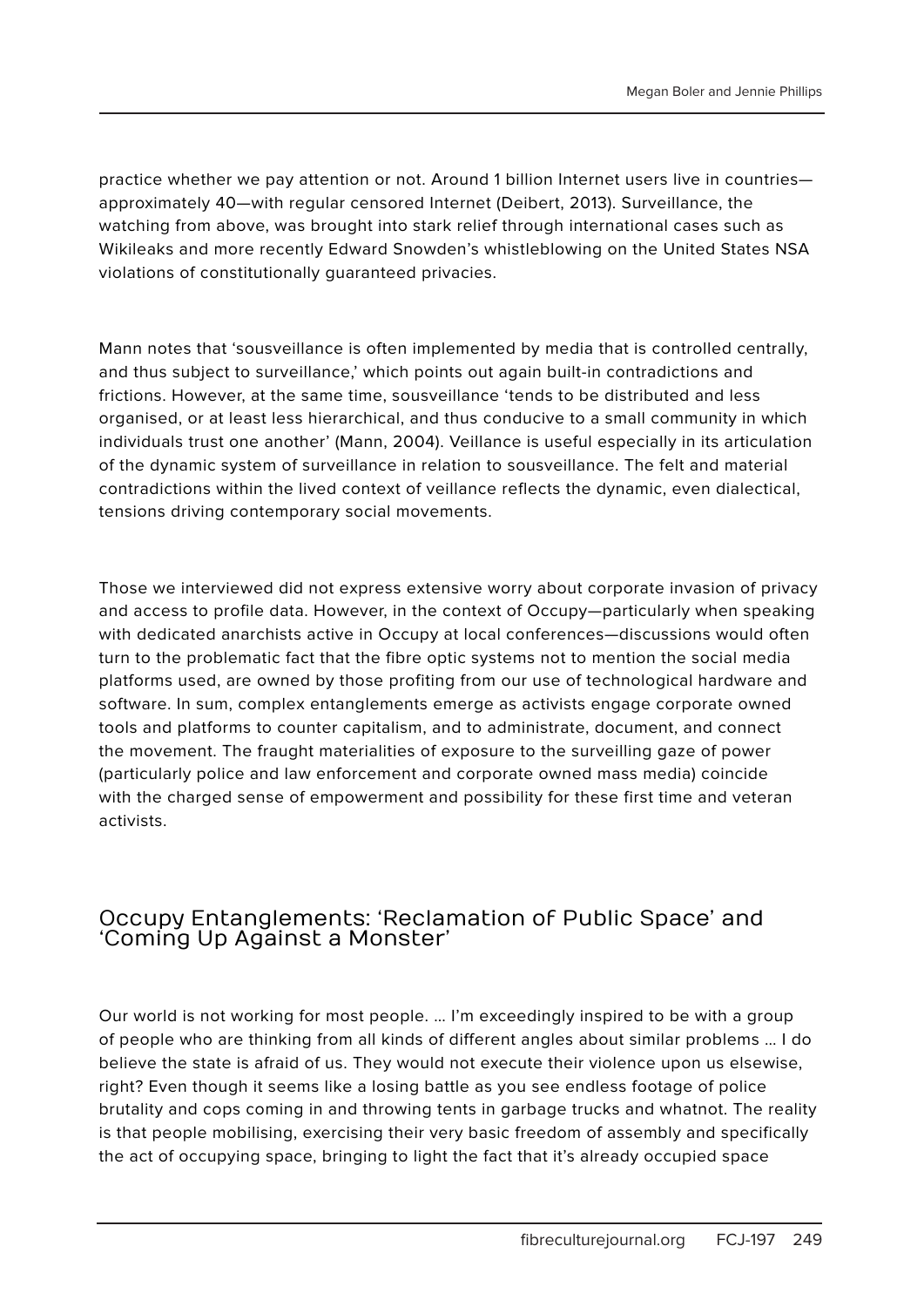practice whether we pay attention or not. Around 1 billion Internet users live in countries approximately 40—with regular censored Internet (Deibert, 2013). Surveillance, the watching from above, was brought into stark relief through international cases such as Wikileaks and more recently Edward Snowden's whistleblowing on the United States NSA violations of constitutionally guaranteed privacies.

Mann notes that 'sousveillance is often implemented by media that is controlled centrally, and thus subject to surveillance,' which points out again built-in contradictions and frictions. However, at the same time, sousveillance 'tends to be distributed and less organised, or at least less hierarchical, and thus conducive to a small community in which individuals trust one another' (Mann, 2004). Veillance is useful especially in its articulation of the dynamic system of surveillance in relation to sousveillance. The felt and material contradictions within the lived context of veillance reflects the dynamic, even dialectical, tensions driving contemporary social movements.

Those we interviewed did not express extensive worry about corporate invasion of privacy and access to profile data. However, in the context of Occupy—particularly when speaking with dedicated anarchists active in Occupy at local conferences—discussions would often turn to the problematic fact that the fibre optic systems not to mention the social media platforms used, are owned by those profiting from our use of technological hardware and software. In sum, complex entanglements emerge as activists engage corporate owned tools and platforms to counter capitalism, and to administrate, document, and connect the movement. The fraught materialities of exposure to the surveilling gaze of power (particularly police and law enforcement and corporate owned mass media) coincide with the charged sense of empowerment and possibility for these first time and veteran activists.

#### Occupy Entanglements: 'Reclamation of Public Space' and 'Coming Up Against a Monster'

Our world is not working for most people. … I'm exceedingly inspired to be with a group of people who are thinking from all kinds of different angles about similar problems … I do believe the state is afraid of us. They would not execute their violence upon us elsewise, right? Even though it seems like a losing battle as you see endless footage of police brutality and cops coming in and throwing tents in garbage trucks and whatnot. The reality is that people mobilising, exercising their very basic freedom of assembly and specifically the act of occupying space, bringing to light the fact that it's already occupied space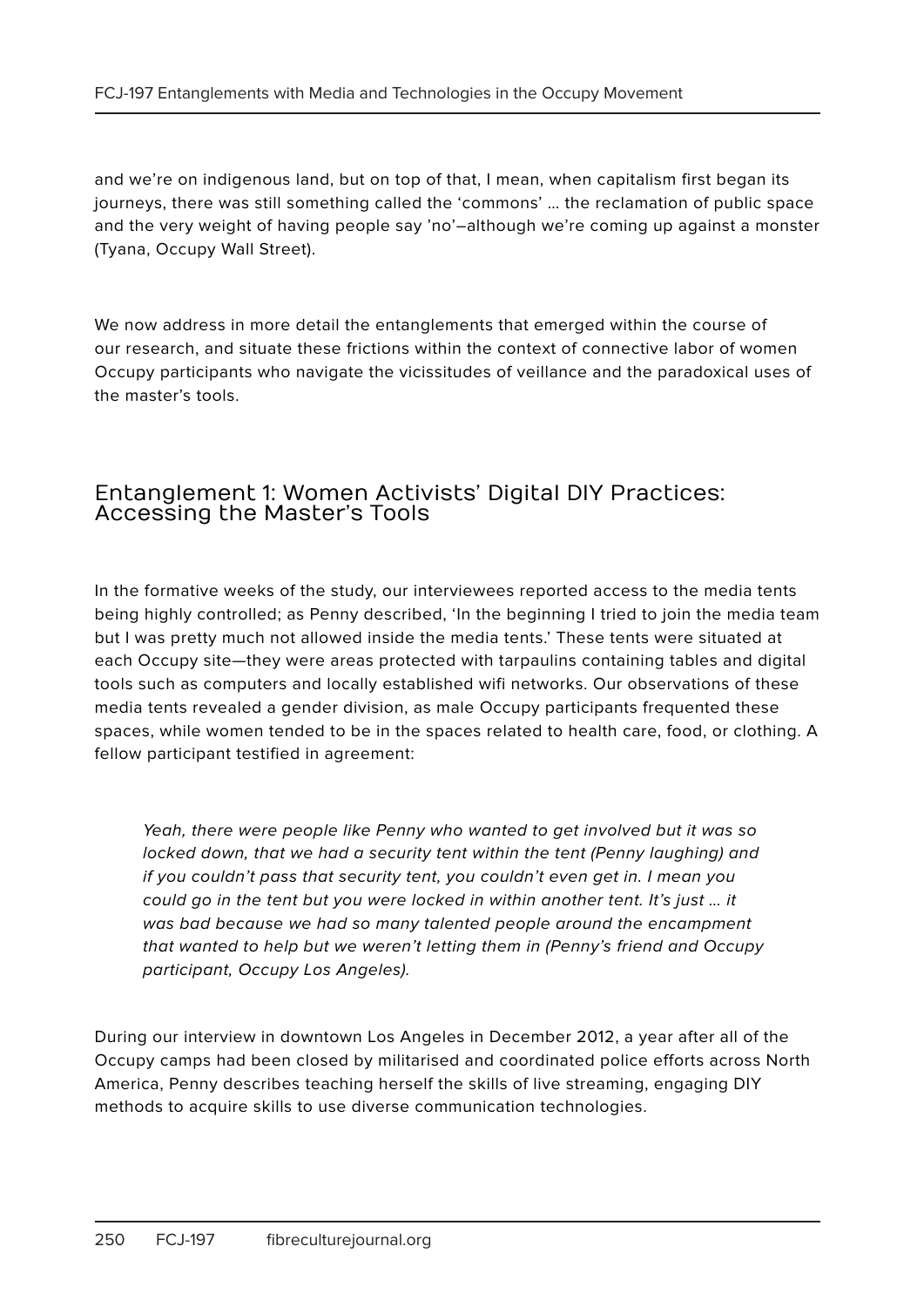and we're on indigenous land, but on top of that, I mean, when capitalism first began its journeys, there was still something called the 'commons' … the reclamation of public space and the very weight of having people say 'no'–although we're coming up against a monster (Tyana, Occupy Wall Street).

We now address in more detail the entanglements that emerged within the course of our research, and situate these frictions within the context of connective labor of women Occupy participants who navigate the vicissitudes of veillance and the paradoxical uses of the master's tools.

#### Entanglement 1: Women Activists' Digital DIY Practices: Accessing the Master's Tools

In the formative weeks of the study, our interviewees reported access to the media tents being highly controlled; as Penny described, 'In the beginning I tried to join the media team but I was pretty much not allowed inside the media tents.' These tents were situated at each Occupy site—they were areas protected with tarpaulins containing tables and digital tools such as computers and locally established wifi networks. Our observations of these media tents revealed a gender division, as male Occupy participants frequented these spaces, while women tended to be in the spaces related to health care, food, or clothing. A fellow participant testified in agreement:

Yeah, there were people like Penny who wanted to get involved but it was so locked down, that we had a security tent within the tent (Penny laughing) and if you couldn't pass that security tent, you couldn't even get in. I mean you could go in the tent but you were locked in within another tent. It's just … it was bad because we had so many talented people around the encampment that wanted to help but we weren't letting them in (Penny's friend and Occupy participant, Occupy Los Angeles).

During our interview in downtown Los Angeles in December 2012, a year after all of the Occupy camps had been closed by militarised and coordinated police efforts across North America, Penny describes teaching herself the skills of live streaming, engaging DIY methods to acquire skills to use diverse communication technologies.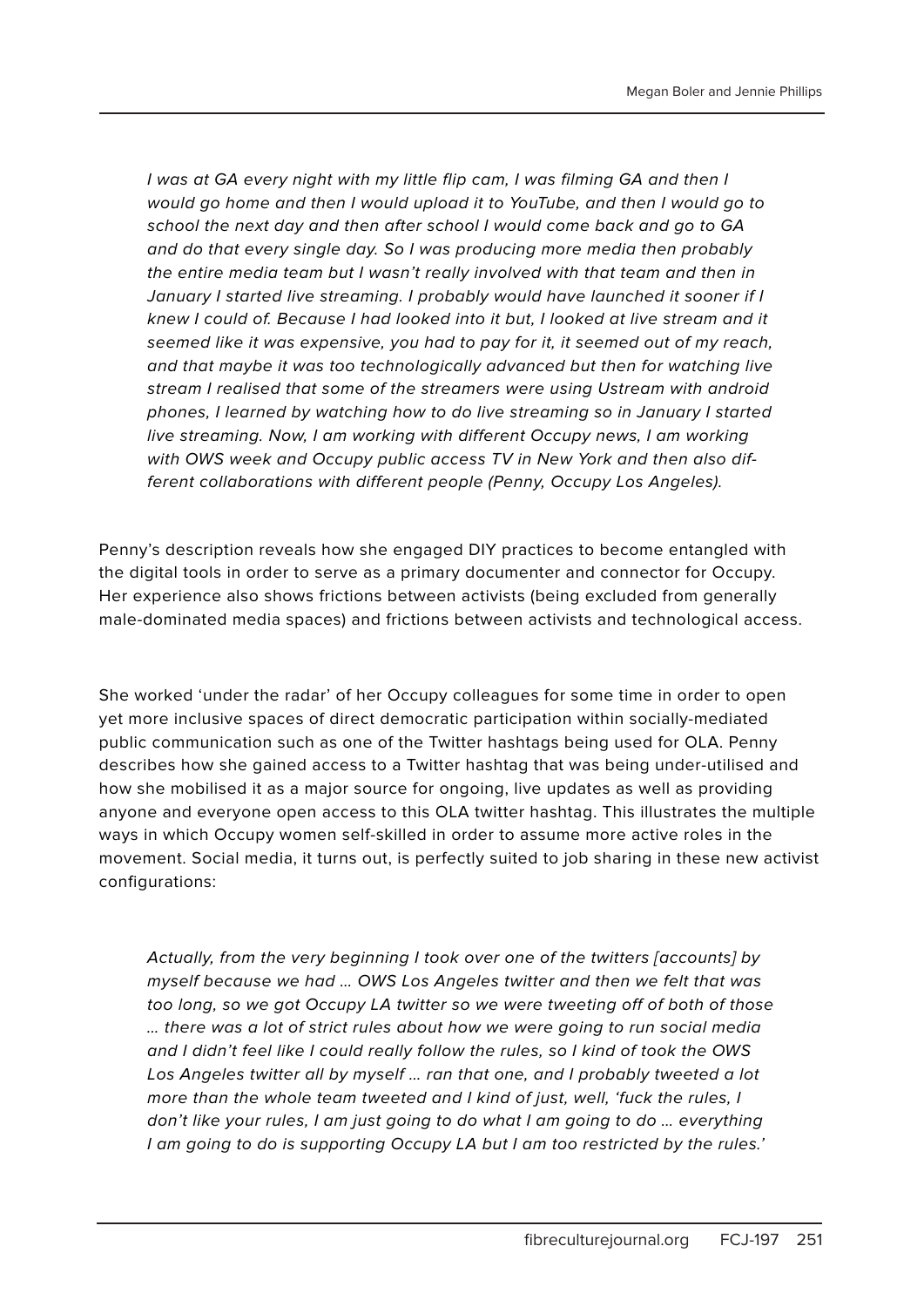I was at GA every night with my little flip cam, I was filming GA and then I would go home and then I would upload it to YouTube, and then I would go to school the next day and then after school I would come back and go to GA and do that every single day. So I was producing more media then probably the entire media team but I wasn't really involved with that team and then in January I started live streaming. I probably would have launched it sooner if I knew I could of. Because I had looked into it but, I looked at live stream and it seemed like it was expensive, you had to pay for it, it seemed out of my reach, and that maybe it was too technologically advanced but then for watching live stream I realised that some of the streamers were using Ustream with android phones, I learned by watching how to do live streaming so in January I started live streaming. Now, I am working with different Occupy news, I am working with OWS week and Occupy public access TV in New York and then also different collaborations with different people (Penny, Occupy Los Angeles).

Penny's description reveals how she engaged DIY practices to become entangled with the digital tools in order to serve as a primary documenter and connector for Occupy. Her experience also shows frictions between activists (being excluded from generally male-dominated media spaces) and frictions between activists and technological access.

She worked 'under the radar' of her Occupy colleagues for some time in order to open yet more inclusive spaces of direct democratic participation within socially-mediated public communication such as one of the Twitter hashtags being used for OLA. Penny describes how she gained access to a Twitter hashtag that was being under-utilised and how she mobilised it as a major source for ongoing, live updates as well as providing anyone and everyone open access to this OLA twitter hashtag. This illustrates the multiple ways in which Occupy women self-skilled in order to assume more active roles in the movement. Social media, it turns out, is perfectly suited to job sharing in these new activist configurations:

Actually, from the very beginning I took over one of the twitters [accounts] by myself because we had … OWS Los Angeles twitter and then we felt that was too long, so we got Occupy LA twitter so we were tweeting off of both of those … there was a lot of strict rules about how we were going to run social media and I didn't feel like I could really follow the rules, so I kind of took the OWS Los Angeles twitter all by myself … ran that one, and I probably tweeted a lot more than the whole team tweeted and I kind of just, well, 'fuck the rules, I don't like your rules, I am just going to do what I am going to do … everything I am going to do is supporting Occupy LA but I am too restricted by the rules.'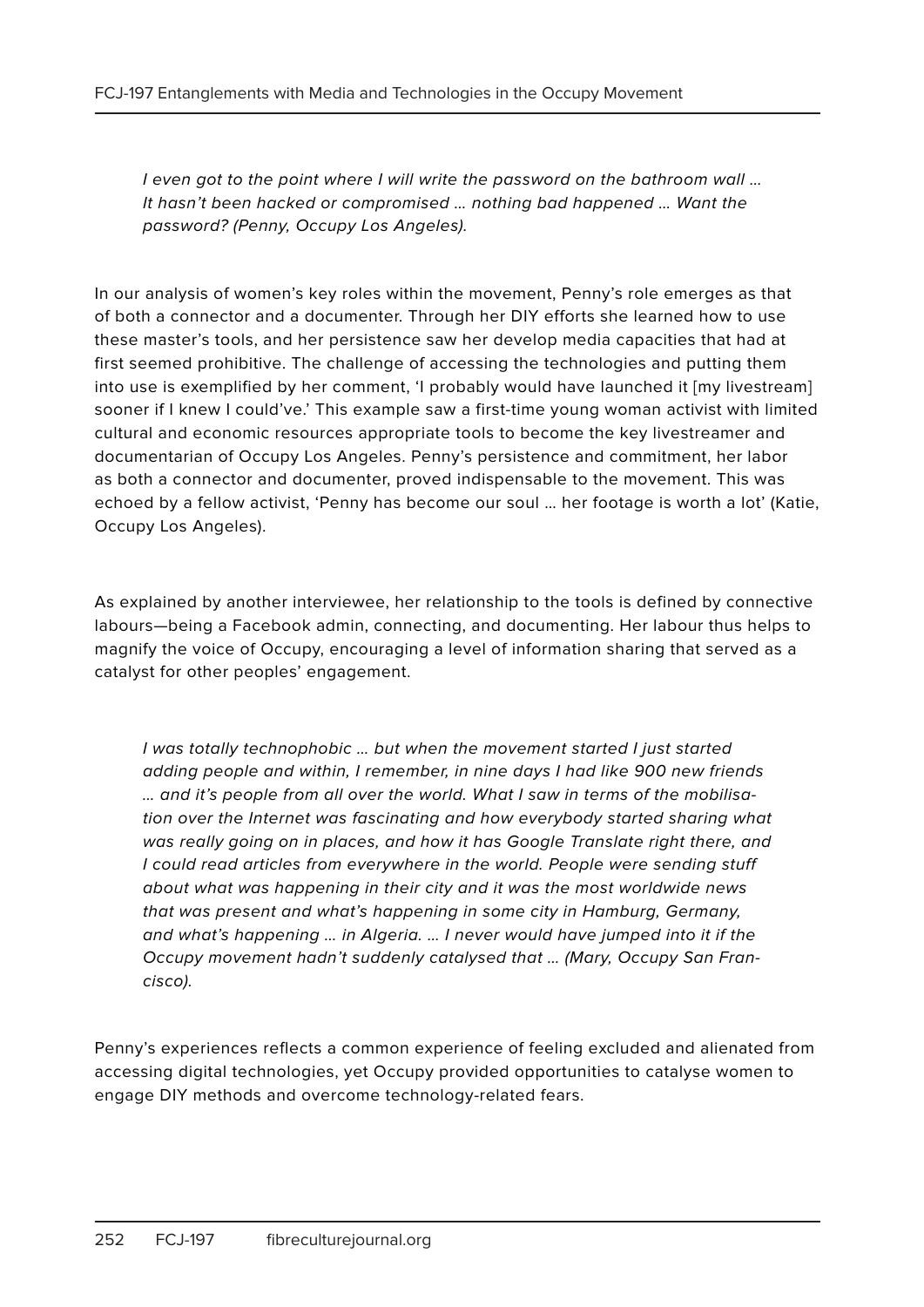I even got to the point where I will write the password on the bathroom wall … It hasn't been hacked or compromised … nothing bad happened … Want the password? (Penny, Occupy Los Angeles).

In our analysis of women's key roles within the movement, Penny's role emerges as that of both a connector and a documenter. Through her DIY efforts she learned how to use these master's tools, and her persistence saw her develop media capacities that had at first seemed prohibitive. The challenge of accessing the technologies and putting them into use is exemplified by her comment, 'I probably would have launched it [my livestream] sooner if I knew I could've.' This example saw a first-time young woman activist with limited cultural and economic resources appropriate tools to become the key livestreamer and documentarian of Occupy Los Angeles. Penny's persistence and commitment, her labor as both a connector and documenter, proved indispensable to the movement. This was echoed by a fellow activist, 'Penny has become our soul … her footage is worth a lot' (Katie, Occupy Los Angeles).

As explained by another interviewee, her relationship to the tools is defined by connective labours—being a Facebook admin, connecting, and documenting. Her labour thus helps to magnify the voice of Occupy, encouraging a level of information sharing that served as a catalyst for other peoples' engagement.

I was totally technophobic … but when the movement started I just started adding people and within, I remember, in nine days I had like 900 new friends … and it's people from all over the world. What I saw in terms of the mobilisation over the Internet was fascinating and how everybody started sharing what was really going on in places, and how it has Google Translate right there, and I could read articles from everywhere in the world. People were sending stuff about what was happening in their city and it was the most worldwide news that was present and what's happening in some city in Hamburg, Germany, and what's happening … in Algeria. … I never would have jumped into it if the Occupy movement hadn't suddenly catalysed that … (Mary, Occupy San Francisco).

Penny's experiences reflects a common experience of feeling excluded and alienated from accessing digital technologies, yet Occupy provided opportunities to catalyse women to engage DIY methods and overcome technology-related fears.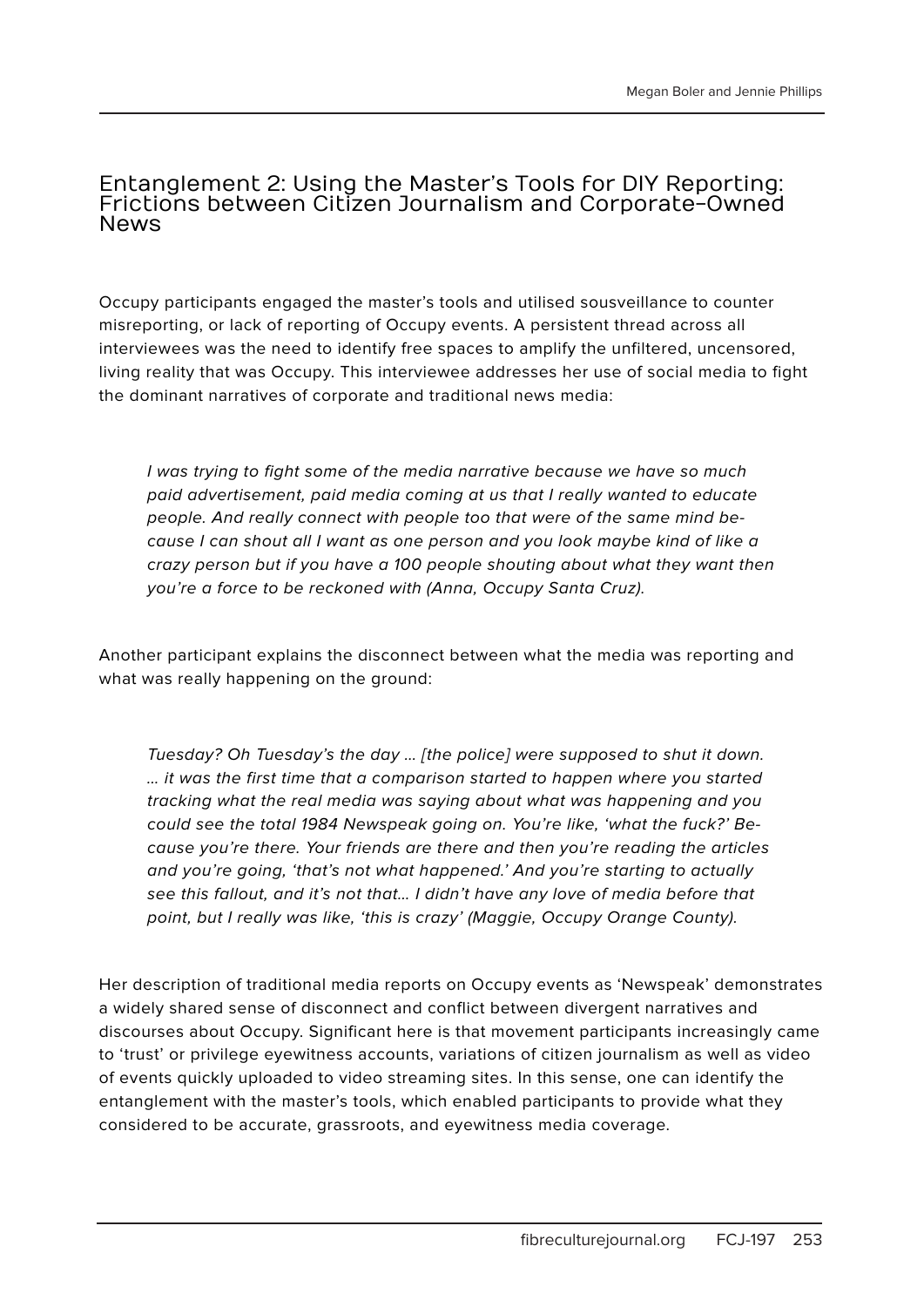#### Entanglement 2: Using the Master's Tools for DIY Reporting: Frictions between Citizen Journalism and Corporate-Owned News

Occupy participants engaged the master's tools and utilised sousveillance to counter misreporting, or lack of reporting of Occupy events. A persistent thread across all interviewees was the need to identify free spaces to amplify the unfiltered, uncensored, living reality that was Occupy. This interviewee addresses her use of social media to fight the dominant narratives of corporate and traditional news media:

I was trying to fight some of the media narrative because we have so much paid advertisement, paid media coming at us that I really wanted to educate people. And really connect with people too that were of the same mind because I can shout all I want as one person and you look maybe kind of like a crazy person but if you have a 100 people shouting about what they want then you're a force to be reckoned with (Anna, Occupy Santa Cruz).

Another participant explains the disconnect between what the media was reporting and what was really happening on the ground:

Tuesday? Oh Tuesday's the day … [the police] were supposed to shut it down. … it was the first time that a comparison started to happen where you started tracking what the real media was saying about what was happening and you could see the total 1984 Newspeak going on. You're like, 'what the fuck?' Because you're there. Your friends are there and then you're reading the articles and you're going, 'that's not what happened.' And you're starting to actually see this fallout, and it's not that… I didn't have any love of media before that point, but I really was like, 'this is crazy' (Maggie, Occupy Orange County).

Her description of traditional media reports on Occupy events as 'Newspeak' demonstrates a widely shared sense of disconnect and conflict between divergent narratives and discourses about Occupy. Significant here is that movement participants increasingly came to 'trust' or privilege eyewitness accounts, variations of citizen journalism as well as video of events quickly uploaded to video streaming sites. In this sense, one can identify the entanglement with the master's tools, which enabled participants to provide what they considered to be accurate, grassroots, and eyewitness media coverage.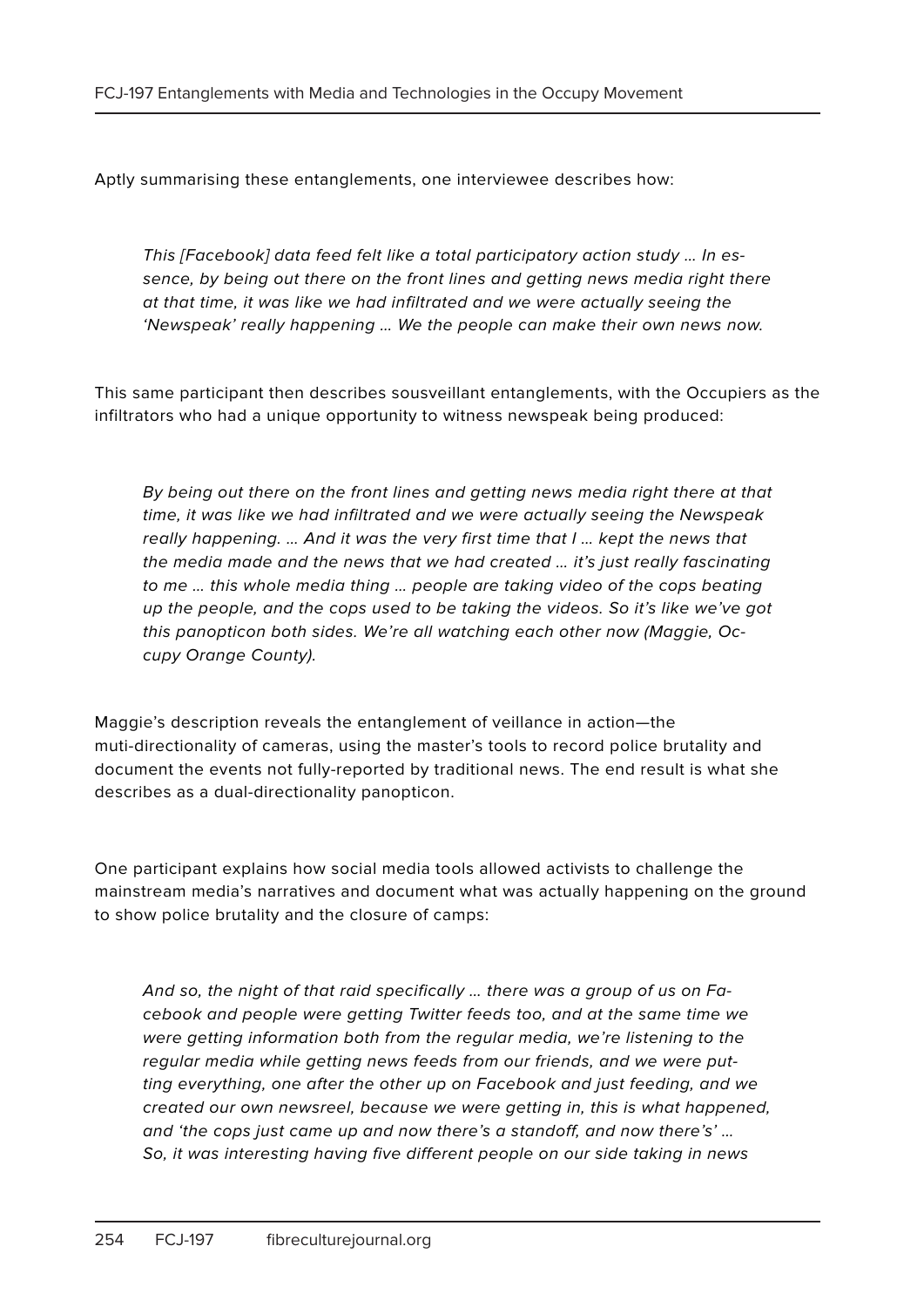Aptly summarising these entanglements, one interviewee describes how:

This [Facebook] data feed felt like a total participatory action study … In essence, by being out there on the front lines and getting news media right there at that time, it was like we had infiltrated and we were actually seeing the 'Newspeak' really happening … We the people can make their own news now.

This same participant then describes sousveillant entanglements, with the Occupiers as the infiltrators who had a unique opportunity to witness newspeak being produced:

By being out there on the front lines and getting news media right there at that time, it was like we had infiltrated and we were actually seeing the Newspeak really happening. … And it was the very first time that I … kept the news that the media made and the news that we had created … it's just really fascinating to me … this whole media thing … people are taking video of the cops beating up the people, and the cops used to be taking the videos. So it's like we've got this panopticon both sides. We're all watching each other now (Maggie, Occupy Orange County).

Maggie's description reveals the entanglement of veillance in action—the muti-directionality of cameras, using the master's tools to record police brutality and document the events not fully-reported by traditional news. The end result is what she describes as a dual-directionality panopticon.

One participant explains how social media tools allowed activists to challenge the mainstream media's narratives and document what was actually happening on the ground to show police brutality and the closure of camps:

And so, the night of that raid specifically … there was a group of us on Facebook and people were getting Twitter feeds too, and at the same time we were getting information both from the regular media, we're listening to the regular media while getting news feeds from our friends, and we were putting everything, one after the other up on Facebook and just feeding, and we created our own newsreel, because we were getting in, this is what happened, and 'the cops just came up and now there's a standoff, and now there's' … So, it was interesting having five different people on our side taking in news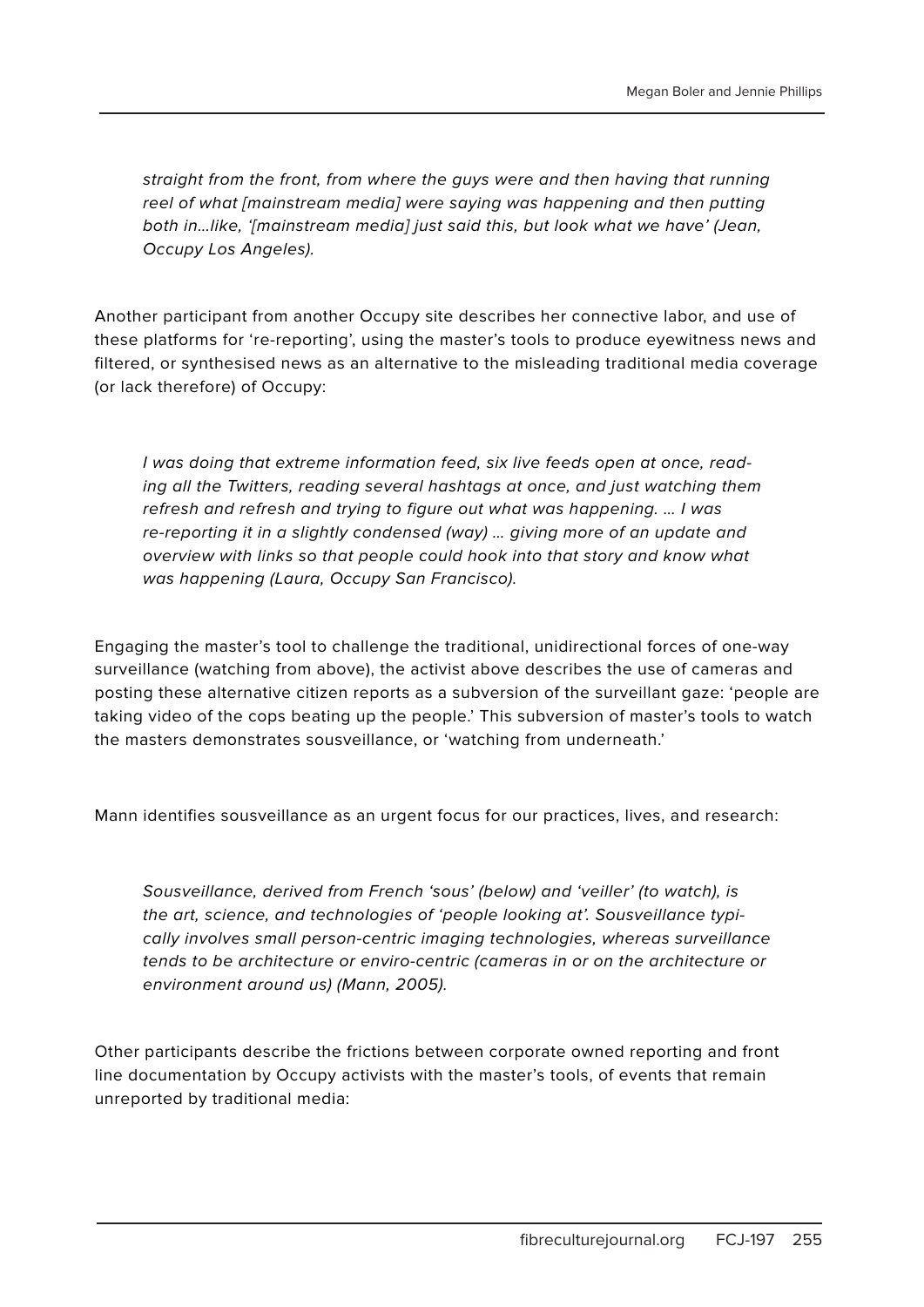straight from the front, from where the guys were and then having that running reel of what [mainstream media] were saying was happening and then putting both in…like, '[mainstream media] just said this, but look what we have' (Jean, Occupy Los Angeles).

Another participant from another Occupy site describes her connective labor, and use of these platforms for 're-reporting', using the master's tools to produce eyewitness news and filtered, or synthesised news as an alternative to the misleading traditional media coverage (or lack therefore) of Occupy:

I was doing that extreme information feed, six live feeds open at once, reading all the Twitters, reading several hashtags at once, and just watching them refresh and refresh and trying to figure out what was happening. … I was re-reporting it in a slightly condensed (way) … giving more of an update and overview with links so that people could hook into that story and know what was happening (Laura, Occupy San Francisco).

Engaging the master's tool to challenge the traditional, unidirectional forces of one-way surveillance (watching from above), the activist above describes the use of cameras and posting these alternative citizen reports as a subversion of the surveillant gaze: 'people are taking video of the cops beating up the people.' This subversion of master's tools to watch the masters demonstrates sousveillance, or 'watching from underneath.'

Mann identifies sousveillance as an urgent focus for our practices, lives, and research:

Sousveillance, derived from French 'sous' (below) and 'veiller' (to watch), is the art, science, and technologies of 'people looking at'. Sousveillance typically involves small person-centric imaging technologies, whereas surveillance tends to be architecture or enviro-centric (cameras in or on the architecture or environment around us) (Mann, 2005).

Other participants describe the frictions between corporate owned reporting and front line documentation by Occupy activists with the master's tools, of events that remain unreported by traditional media: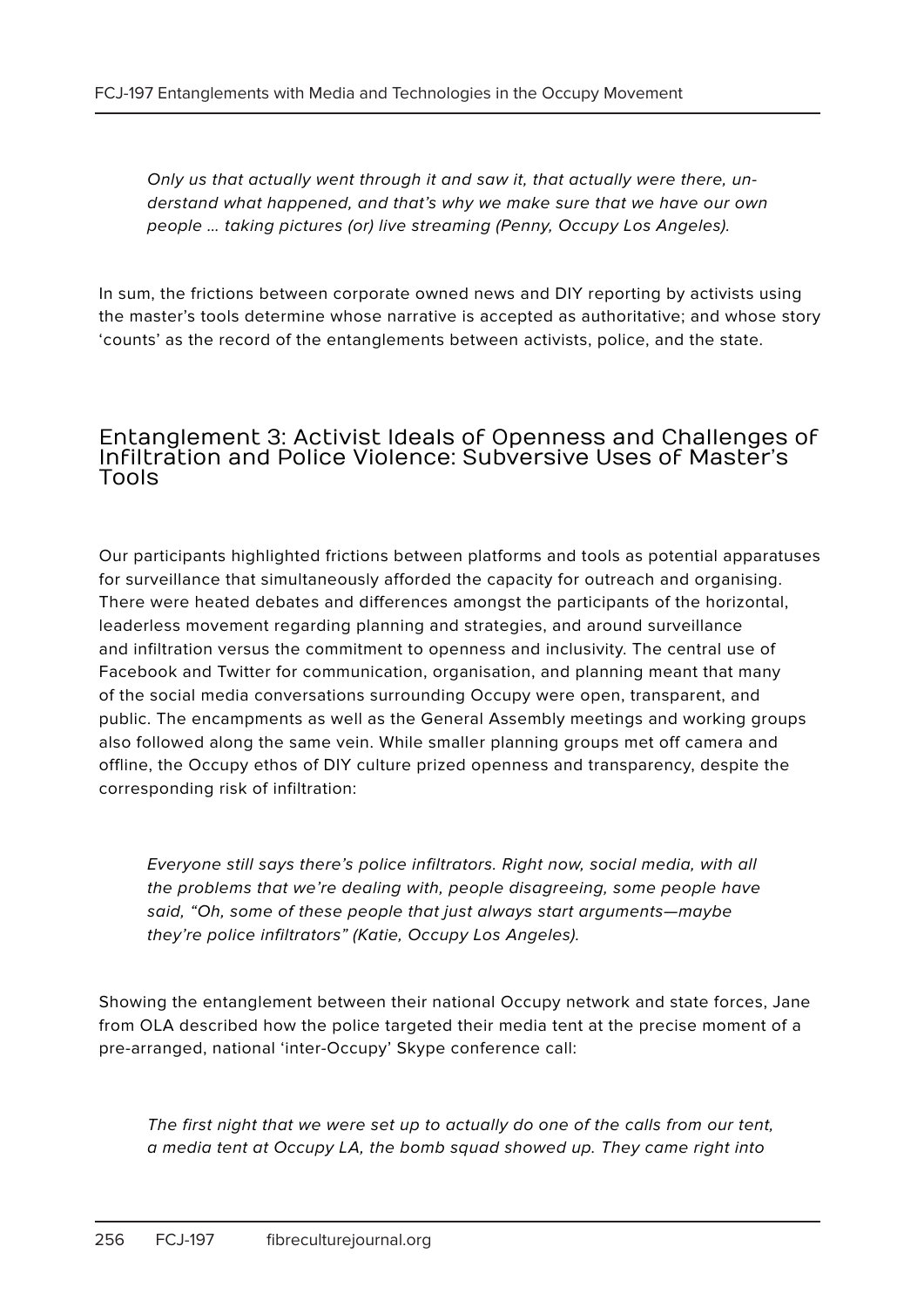Only us that actually went through it and saw it, that actually were there, understand what happened, and that's why we make sure that we have our own people … taking pictures (or) live streaming (Penny, Occupy Los Angeles).

In sum, the frictions between corporate owned news and DIY reporting by activists using the master's tools determine whose narrative is accepted as authoritative; and whose story 'counts' as the record of the entanglements between activists, police, and the state.

#### Entanglement 3: Activist Ideals of Openness and Challenges of Infiltration and Police Violence: Subversive Uses of Master's Tools

Our participants highlighted frictions between platforms and tools as potential apparatuses for surveillance that simultaneously afforded the capacity for outreach and organising. There were heated debates and differences amongst the participants of the horizontal, leaderless movement regarding planning and strategies, and around surveillance and infiltration versus the commitment to openness and inclusivity. The central use of Facebook and Twitter for communication, organisation, and planning meant that many of the social media conversations surrounding Occupy were open, transparent, and public. The encampments as well as the General Assembly meetings and working groups also followed along the same vein. While smaller planning groups met off camera and offline, the Occupy ethos of DIY culture prized openness and transparency, despite the corresponding risk of infiltration:

Everyone still says there's police infiltrators. Right now, social media, with all the problems that we're dealing with, people disagreeing, some people have said, "Oh, some of these people that just always start arguments—maybe they're police infiltrators" (Katie, Occupy Los Angeles).

Showing the entanglement between their national Occupy network and state forces, Jane from OLA described how the police targeted their media tent at the precise moment of a pre-arranged, national 'inter-Occupy' Skype conference call:

The first night that we were set up to actually do one of the calls from our tent, a media tent at Occupy LA, the bomb squad showed up. They came right into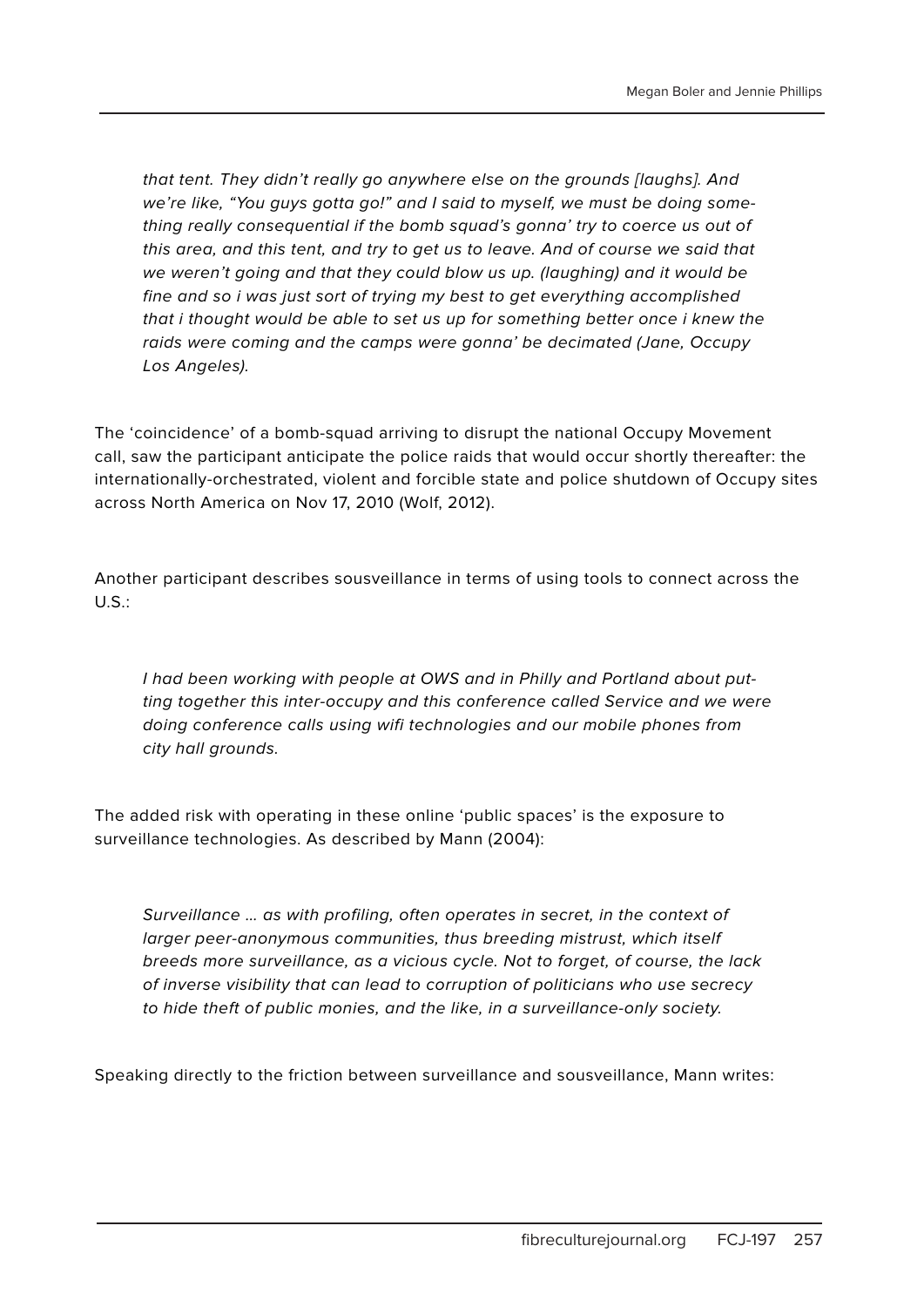that tent. They didn't really go anywhere else on the grounds [laughs]. And we're like, "You guys gotta go!" and I said to myself, we must be doing something really consequential if the bomb squad's gonna' try to coerce us out of this area, and this tent, and try to get us to leave. And of course we said that we weren't going and that they could blow us up. (laughing) and it would be fine and so i was just sort of trying my best to get everything accomplished that i thought would be able to set us up for something better once i knew the raids were coming and the camps were gonna' be decimated (Jane, Occupy Los Angeles).

The 'coincidence' of a bomb-squad arriving to disrupt the national Occupy Movement call, saw the participant anticipate the police raids that would occur shortly thereafter: the internationally-orchestrated, violent and forcible state and police shutdown of Occupy sites across North America on Nov 17, 2010 (Wolf, 2012).

Another participant describes sousveillance in terms of using tools to connect across the  $U.S.:$ 

I had been working with people at OWS and in Philly and Portland about putting together this inter-occupy and this conference called Service and we were doing conference calls using wifi technologies and our mobile phones from city hall grounds.

The added risk with operating in these online 'public spaces' is the exposure to surveillance technologies. As described by Mann (2004):

Surveillance … as with profiling, often operates in secret, in the context of larger peer-anonymous communities, thus breeding mistrust, which itself breeds more surveillance, as a vicious cycle. Not to forget, of course, the lack of inverse visibility that can lead to corruption of politicians who use secrecy to hide theft of public monies, and the like, in a surveillance-only society.

Speaking directly to the friction between surveillance and sousveillance, Mann writes: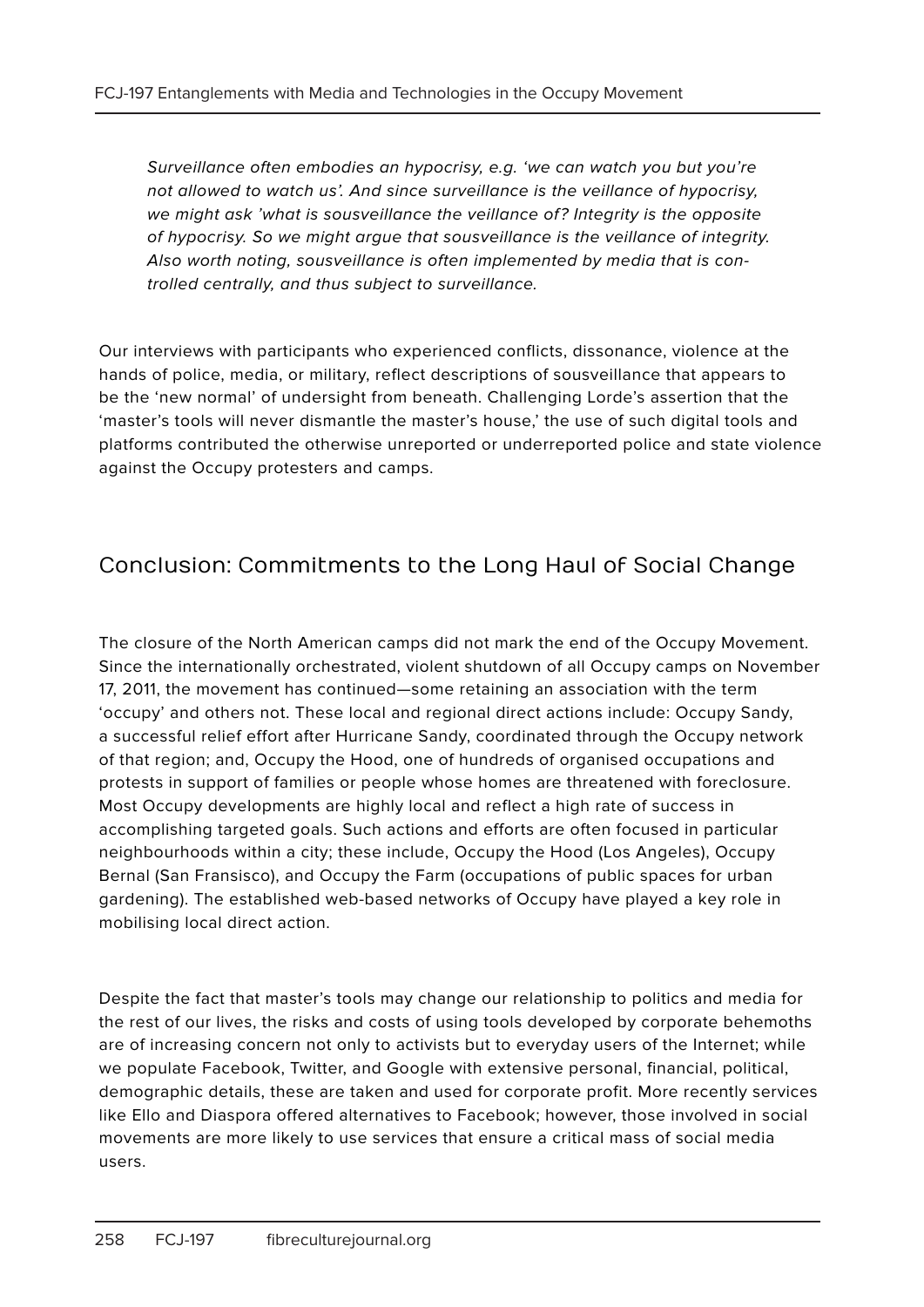Surveillance often embodies an hypocrisy, e.g. 'we can watch you but you're not allowed to watch us'. And since surveillance is the veillance of hypocrisy, we might ask 'what is sousveillance the veillance of? Integrity is the opposite of hypocrisy. So we might argue that sousveillance is the veillance of integrity. Also worth noting, sousveillance is often implemented by media that is controlled centrally, and thus subject to surveillance.

Our interviews with participants who experienced conflicts, dissonance, violence at the hands of police, media, or military, reflect descriptions of sousveillance that appears to be the 'new normal' of undersight from beneath. Challenging Lorde's assertion that the 'master's tools will never dismantle the master's house,' the use of such digital tools and platforms contributed the otherwise unreported or underreported police and state violence against the Occupy protesters and camps.

# Conclusion: Commitments to the Long Haul of Social Change

The closure of the North American camps did not mark the end of the Occupy Movement. Since the internationally orchestrated, violent shutdown of all Occupy camps on November 17, 2011, the movement has continued—some retaining an association with the term 'occupy' and others not. These local and regional direct actions include: Occupy Sandy, a successful relief effort after Hurricane Sandy, coordinated through the Occupy network of that region; and, Occupy the Hood, one of hundreds of organised occupations and protests in support of families or people whose homes are threatened with foreclosure. Most Occupy developments are highly local and reflect a high rate of success in accomplishing targeted goals. Such actions and efforts are often focused in particular neighbourhoods within a city; these include, Occupy the Hood (Los Angeles), Occupy Bernal (San Fransisco), and Occupy the Farm (occupations of public spaces for urban gardening). The established web-based networks of Occupy have played a key role in mobilising local direct action.

Despite the fact that master's tools may change our relationship to politics and media for the rest of our lives, the risks and costs of using tools developed by corporate behemoths are of increasing concern not only to activists but to everyday users of the Internet; while we populate Facebook, Twitter, and Google with extensive personal, financial, political, demographic details, these are taken and used for corporate profit. More recently services like Ello and Diaspora offered alternatives to Facebook; however, those involved in social movements are more likely to use services that ensure a critical mass of social media users.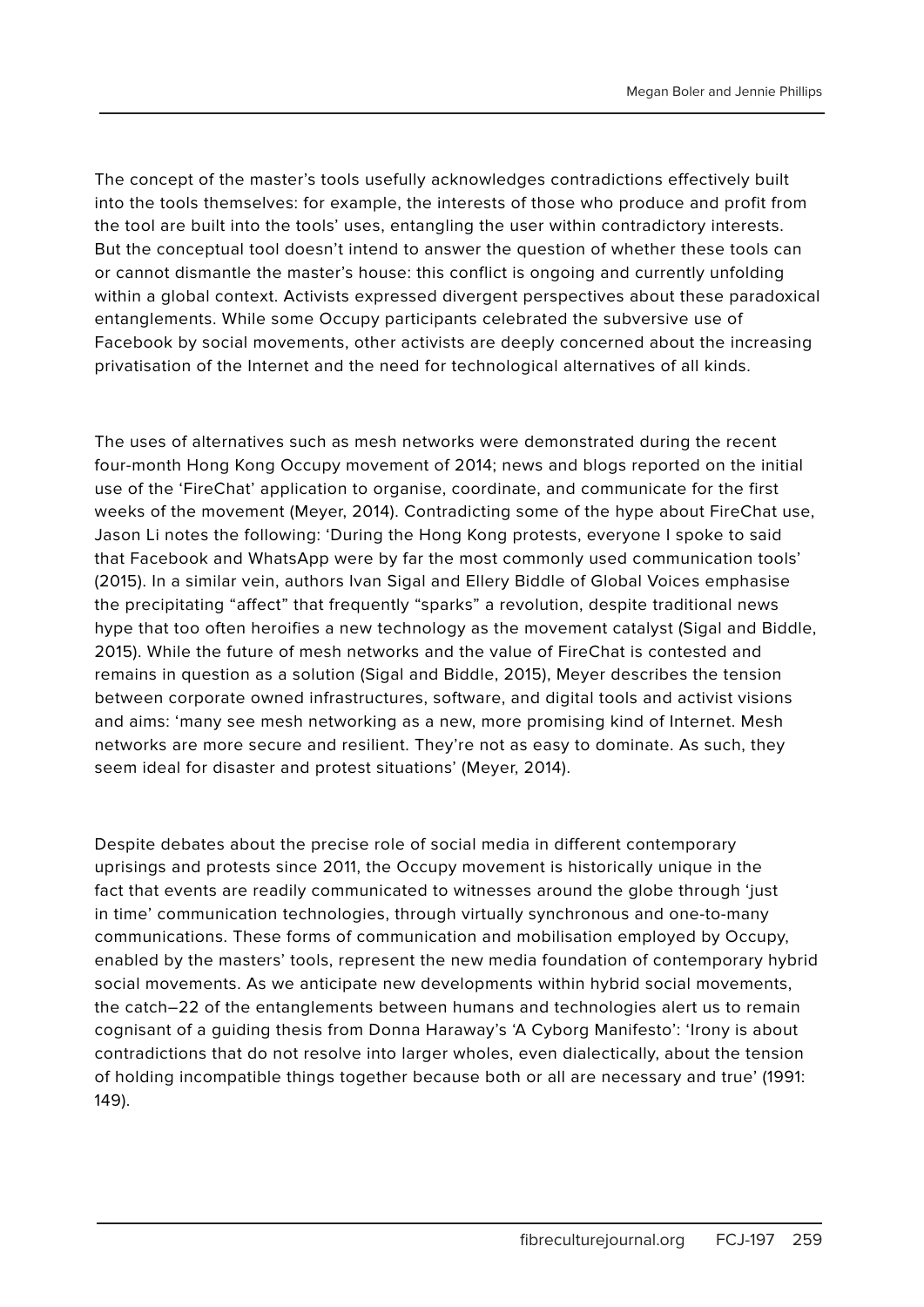The concept of the master's tools usefully acknowledges contradictions effectively built into the tools themselves: for example, the interests of those who produce and profit from the tool are built into the tools' uses, entangling the user within contradictory interests. But the conceptual tool doesn't intend to answer the question of whether these tools can or cannot dismantle the master's house: this conflict is ongoing and currently unfolding within a global context. Activists expressed divergent perspectives about these paradoxical entanglements. While some Occupy participants celebrated the subversive use of Facebook by social movements, other activists are deeply concerned about the increasing privatisation of the Internet and the need for technological alternatives of all kinds.

The uses of alternatives such as mesh networks were demonstrated during the recent four-month Hong Kong Occupy movement of 2014; news and blogs reported on the initial use of the 'FireChat' application to organise, coordinate, and communicate for the first weeks of the movement (Meyer, 2014). Contradicting some of the hype about FireChat use, Jason Li notes the following: 'During the Hong Kong protests, everyone I spoke to said that Facebook and WhatsApp were by far the most commonly used communication tools' (2015). In a similar vein, authors Ivan Sigal and Ellery Biddle of Global Voices emphasise the precipitating "affect" that frequently "sparks" a revolution, despite traditional news hype that too often heroifies a new technology as the movement catalyst (Sigal and Biddle, 2015). While the future of mesh networks and the value of FireChat is contested and remains in question as a solution (Sigal and Biddle, 2015), Meyer describes the tension between corporate owned infrastructures, software, and digital tools and activist visions and aims: 'many see mesh networking as a new, more promising kind of Internet. Mesh networks are more secure and resilient. They're not as easy to dominate. As such, they seem ideal for disaster and protest situations' (Meyer, 2014).

Despite debates about the precise role of social media in different contemporary uprisings and protests since 2011, the Occupy movement is historically unique in the fact that events are readily communicated to witnesses around the globe through 'just in time' communication technologies, through virtually synchronous and one-to-many communications. These forms of communication and mobilisation employed by Occupy, enabled by the masters' tools, represent the new media foundation of contemporary hybrid social movements. As we anticipate new developments within hybrid social movements, the catch–22 of the entanglements between humans and technologies alert us to remain cognisant of a guiding thesis from Donna Haraway's 'A Cyborg Manifesto': 'Irony is about contradictions that do not resolve into larger wholes, even dialectically, about the tension of holding incompatible things together because both or all are necessary and true' (1991: 149).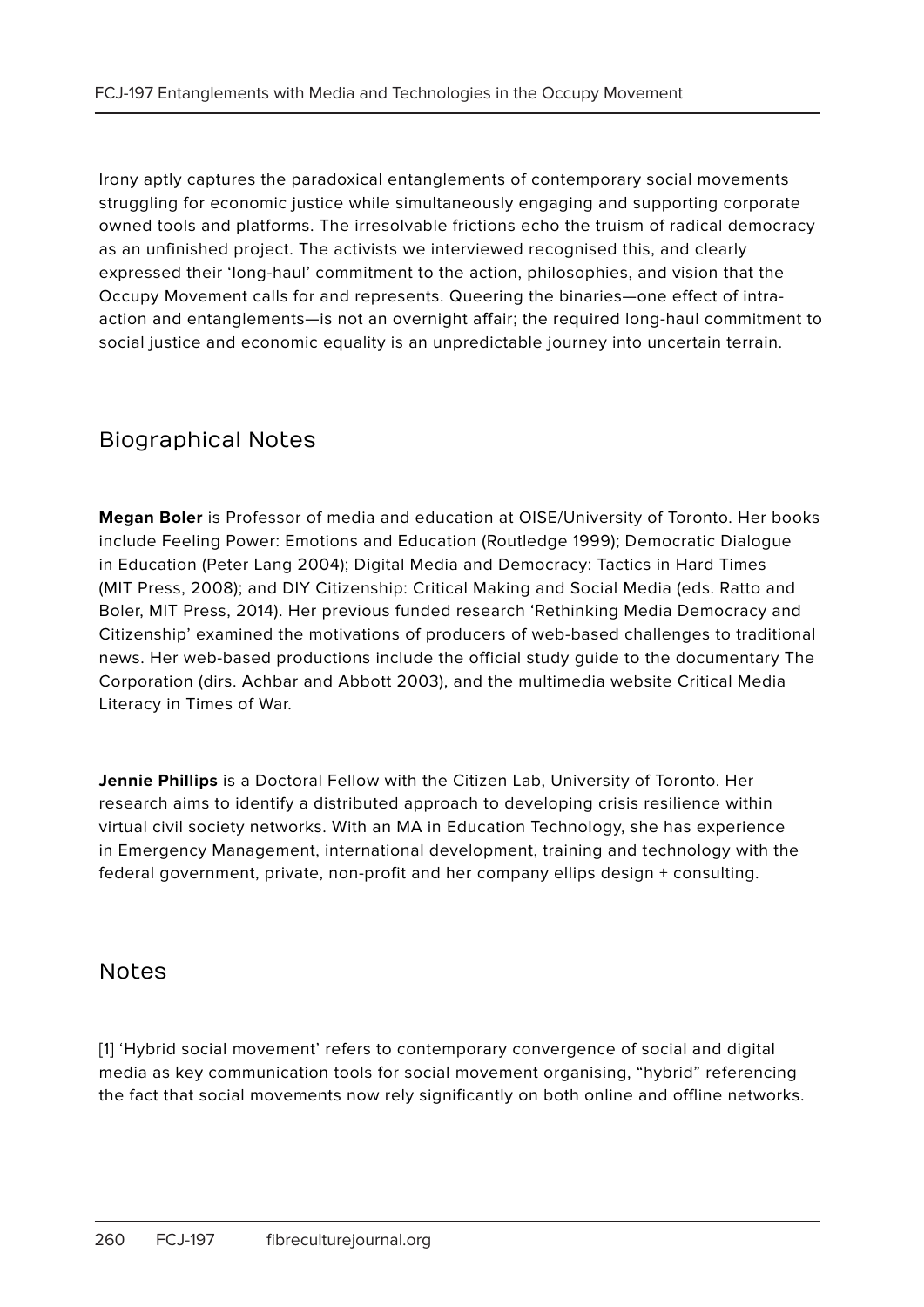Irony aptly captures the paradoxical entanglements of contemporary social movements struggling for economic justice while simultaneously engaging and supporting corporate owned tools and platforms. The irresolvable frictions echo the truism of radical democracy as an unfinished project. The activists we interviewed recognised this, and clearly expressed their 'long-haul' commitment to the action, philosophies, and vision that the Occupy Movement calls for and represents. Queering the binaries—one effect of intraaction and entanglements—is not an overnight affair; the required long-haul commitment to social justice and economic equality is an unpredictable journey into uncertain terrain.

#### Biographical Notes

**Megan Boler** is Professor of media and education at OISE/University of Toronto. Her books include Feeling Power: Emotions and Education (Routledge 1999); Democratic Dialogue in Education (Peter Lang 2004); Digital Media and Democracy: Tactics in Hard Times (MIT Press, 2008); and DIY Citizenship: Critical Making and Social Media (eds. Ratto and Boler, MIT Press, 2014). Her previous funded research 'Rethinking Media Democracy and Citizenship' examined the motivations of producers of web-based challenges to traditional news. Her web-based productions include the official study guide to the documentary The Corporation (dirs. Achbar and Abbott 2003), and the multimedia website Critical Media Literacy in Times of War.

**Jennie Phillips** is a Doctoral Fellow with the Citizen Lab, University of Toronto. Her research aims to identify a distributed approach to developing crisis resilience within virtual civil society networks. With an MA in Education Technology, she has experience in Emergency Management, international development, training and technology with the federal government, private, non-profit and her company ellips design + consulting.

#### **Notes**

[1] 'Hybrid social movement' refers to contemporary convergence of social and digital media as key communication tools for social movement organising, "hybrid" referencing the fact that social movements now rely significantly on both online and offline networks.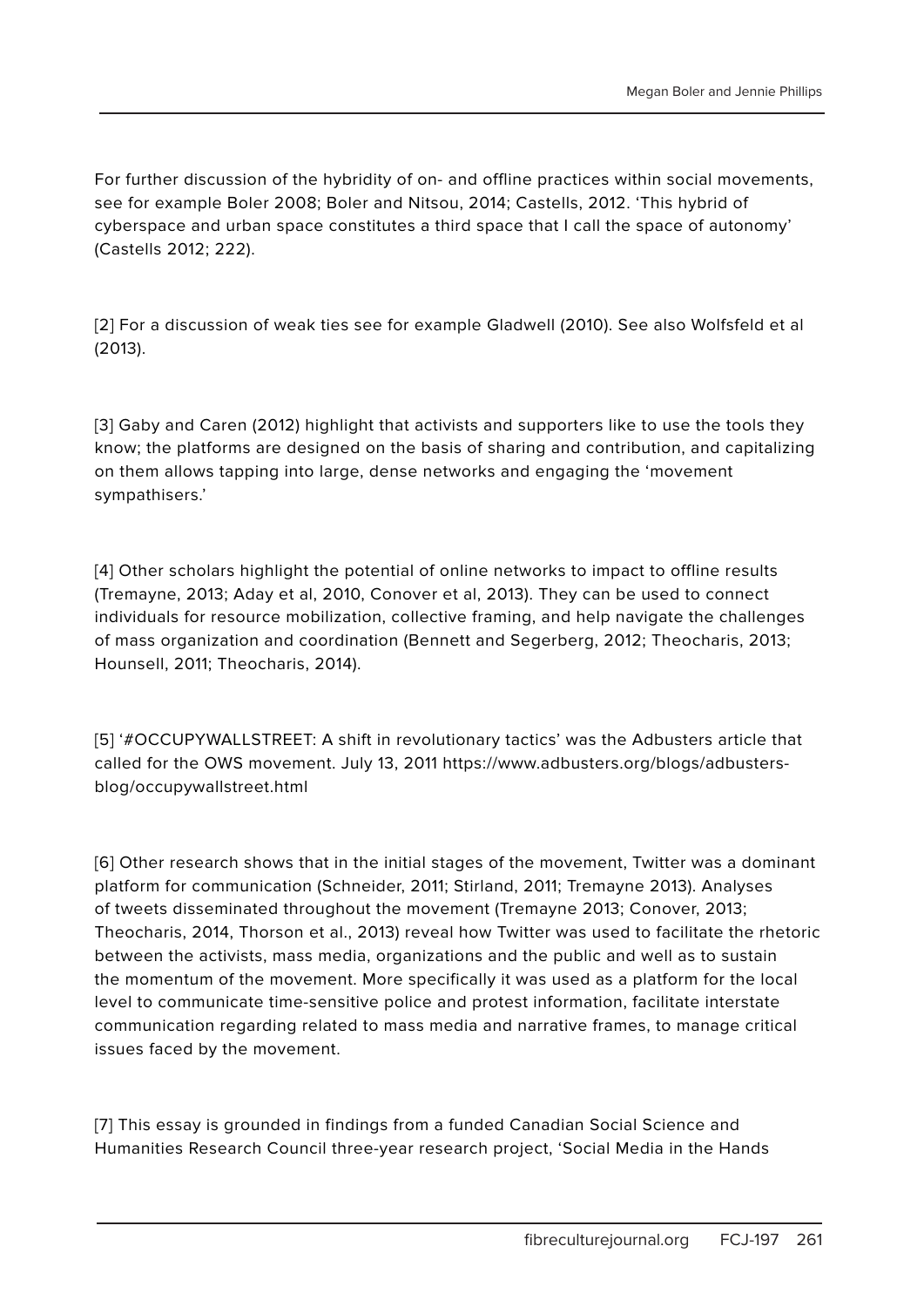For further discussion of the hybridity of on- and offline practices within social movements, see for example Boler 2008; Boler and Nitsou, 2014; Castells, 2012. 'This hybrid of cyberspace and urban space constitutes a third space that I call the space of autonomy' (Castells 2012; 222).

[2] For a discussion of weak ties see for example Gladwell (2010). See also Wolfsfeld et al (2013).

[3] Gaby and Caren (2012) highlight that activists and supporters like to use the tools they know; the platforms are designed on the basis of sharing and contribution, and capitalizing on them allows tapping into large, dense networks and engaging the 'movement sympathisers.'

[4] Other scholars highlight the potential of online networks to impact to offline results (Tremayne, 2013; Aday et al, 2010, Conover et al, 2013). They can be used to connect individuals for resource mobilization, collective framing, and help navigate the challenges of mass organization and coordination (Bennett and Segerberg, 2012; Theocharis, 2013; Hounsell, 2011; Theocharis, 2014).

[5] '#OCCUPYWALLSTREET: A shift in revolutionary tactics' was the Adbusters article that called for the OWS movement. July 13, 2011 https://www.adbusters.org/blogs/adbustersblog/occupywallstreet.html

[6] Other research shows that in the initial stages of the movement, Twitter was a dominant platform for communication (Schneider, 2011; Stirland, 2011; Tremayne 2013). Analyses of tweets disseminated throughout the movement (Tremayne 2013; Conover, 2013; Theocharis, 2014, Thorson et al., 2013) reveal how Twitter was used to facilitate the rhetoric between the activists, mass media, organizations and the public and well as to sustain the momentum of the movement. More specifically it was used as a platform for the local level to communicate time-sensitive police and protest information, facilitate interstate communication regarding related to mass media and narrative frames, to manage critical issues faced by the movement.

[7] This essay is grounded in findings from a funded Canadian Social Science and Humanities Research Council three-year research project, 'Social Media in the Hands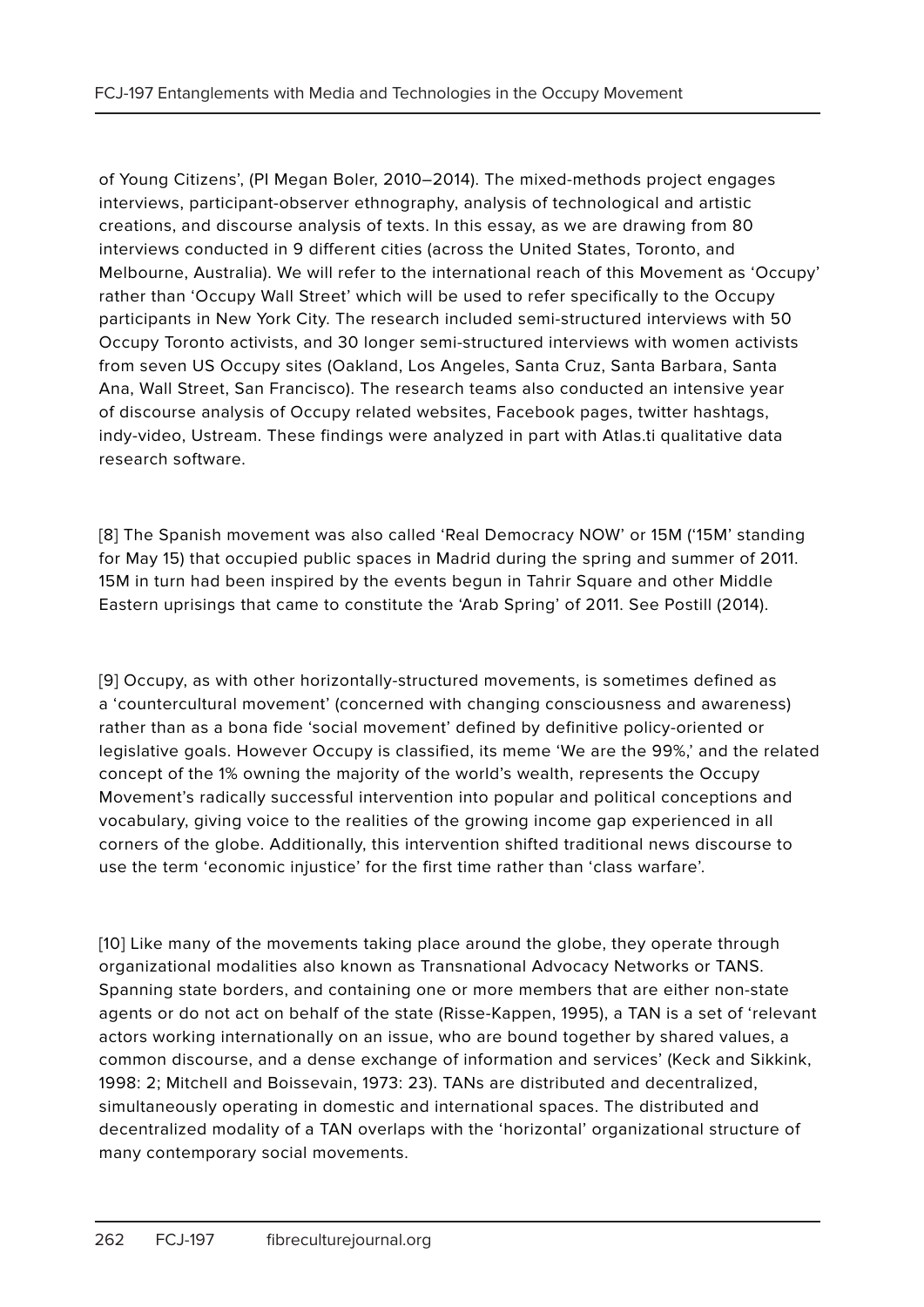of Young Citizens', (PI Megan Boler, 2010–2014). The mixed-methods project engages interviews, participant-observer ethnography, analysis of technological and artistic creations, and discourse analysis of texts. In this essay, as we are drawing from 80 interviews conducted in 9 different cities (across the United States, Toronto, and Melbourne, Australia). We will refer to the international reach of this Movement as 'Occupy' rather than 'Occupy Wall Street' which will be used to refer specifically to the Occupy participants in New York City. The research included semi-structured interviews with 50 Occupy Toronto activists, and 30 longer semi-structured interviews with women activists from seven US Occupy sites (Oakland, Los Angeles, Santa Cruz, Santa Barbara, Santa Ana, Wall Street, San Francisco). The research teams also conducted an intensive year of discourse analysis of Occupy related websites, Facebook pages, twitter hashtags, indy-video, Ustream. These findings were analyzed in part with Atlas.ti qualitative data research software.

[8] The Spanish movement was also called 'Real Democracy NOW' or 15M ('15M' standing for May 15) that occupied public spaces in Madrid during the spring and summer of 2011. 15M in turn had been inspired by the events begun in Tahrir Square and other Middle Eastern uprisings that came to constitute the 'Arab Spring' of 2011. See Postill (2014).

[9] Occupy, as with other horizontally-structured movements, is sometimes defined as a 'countercultural movement' (concerned with changing consciousness and awareness) rather than as a bona fide 'social movement' defined by definitive policy-oriented or legislative goals. However Occupy is classified, its meme 'We are the 99%,' and the related concept of the 1% owning the majority of the world's wealth, represents the Occupy Movement's radically successful intervention into popular and political conceptions and vocabulary, giving voice to the realities of the growing income gap experienced in all corners of the globe. Additionally, this intervention shifted traditional news discourse to use the term 'economic injustice' for the first time rather than 'class warfare'.

[10] Like many of the movements taking place around the globe, they operate through organizational modalities also known as Transnational Advocacy Networks or TANS. Spanning state borders, and containing one or more members that are either non-state agents or do not act on behalf of the state (Risse-Kappen, 1995), a TAN is a set of 'relevant actors working internationally on an issue, who are bound together by shared values, a common discourse, and a dense exchange of information and services' (Keck and Sikkink, 1998: 2; Mitchell and Boissevain, 1973: 23). TANs are distributed and decentralized, simultaneously operating in domestic and international spaces. The distributed and decentralized modality of a TAN overlaps with the 'horizontal' organizational structure of many contemporary social movements.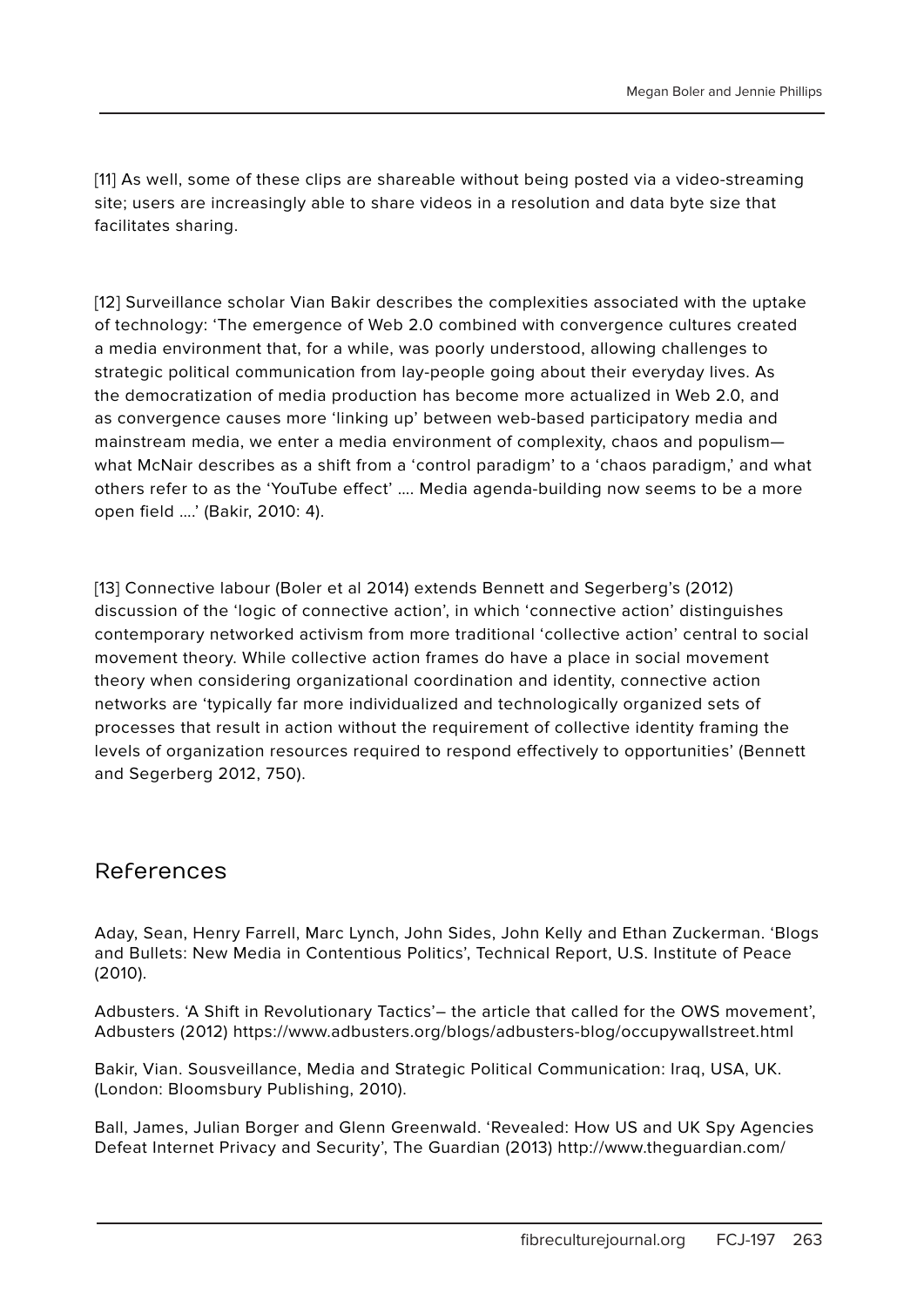[11] As well, some of these clips are shareable without being posted via a video-streaming site; users are increasingly able to share videos in a resolution and data byte size that facilitates sharing.

[12] Surveillance scholar Vian Bakir describes the complexities associated with the uptake of technology: 'The emergence of Web 2.0 combined with convergence cultures created a media environment that, for a while, was poorly understood, allowing challenges to strategic political communication from lay-people going about their everyday lives. As the democratization of media production has become more actualized in Web 2.0, and as convergence causes more 'linking up' between web-based participatory media and mainstream media, we enter a media environment of complexity, chaos and populism what McNair describes as a shift from a 'control paradigm' to a 'chaos paradigm,' and what others refer to as the 'YouTube effect' …. Media agenda-building now seems to be a more open field ….' (Bakir, 2010: 4).

[13] Connective labour (Boler et al 2014) extends Bennett and Segerberg's (2012) discussion of the 'logic of connective action', in which 'connective action' distinguishes contemporary networked activism from more traditional 'collective action' central to social movement theory. While collective action frames do have a place in social movement theory when considering organizational coordination and identity, connective action networks are 'typically far more individualized and technologically organized sets of processes that result in action without the requirement of collective identity framing the levels of organization resources required to respond effectively to opportunities' (Bennett and Segerberg 2012, 750).

#### References

Aday, Sean, Henry Farrell, Marc Lynch, John Sides, John Kelly and Ethan Zuckerman. 'Blogs and Bullets: New Media in Contentious Politics', Technical Report, U.S. Institute of Peace (2010).

Adbusters. 'A Shift in Revolutionary Tactics'– the article that called for the OWS movement', Adbusters (2012) https://www.adbusters.org/blogs/adbusters-blog/occupywallstreet.html

Bakir, Vian. Sousveillance, Media and Strategic Political Communication: Iraq, USA, UK. (London: Bloomsbury Publishing, 2010).

Ball, James, Julian Borger and Glenn Greenwald. 'Revealed: How US and UK Spy Agencies Defeat Internet Privacy and Security', The Guardian (2013) http://www.theguardian.com/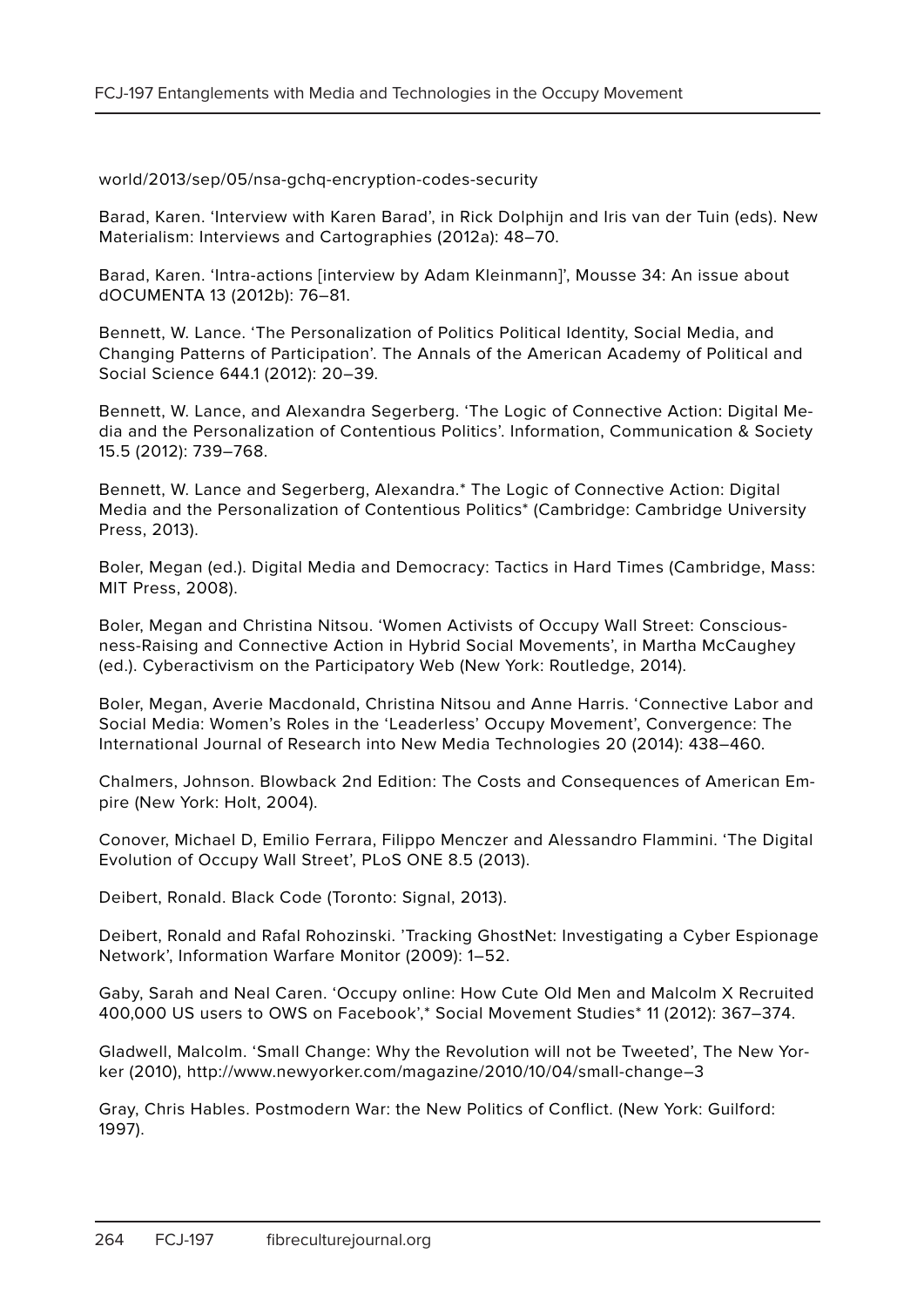world/2013/sep/05/nsa-gchq-encryption-codes-security

Barad, Karen. 'Interview with Karen Barad', in Rick Dolphijn and Iris van der Tuin (eds). New Materialism: Interviews and Cartographies (2012a): 48–70.

Barad, Karen. 'Intra-actions [interview by Adam Kleinmann]', Mousse 34: An issue about dOCUMENTA 13 (2012b): 76–81.

Bennett, W. Lance. 'The Personalization of Politics Political Identity, Social Media, and Changing Patterns of Participation'. The Annals of the American Academy of Political and Social Science 644.1 (2012): 20–39.

Bennett, W. Lance, and Alexandra Segerberg. 'The Logic of Connective Action: Digital Media and the Personalization of Contentious Politics'. Information, Communication & Society 15.5 (2012): 739–768.

Bennett, W. Lance and Segerberg, Alexandra.\* The Logic of Connective Action: Digital Media and the Personalization of Contentious Politics\* (Cambridge: Cambridge University Press, 2013).

Boler, Megan (ed.). Digital Media and Democracy: Tactics in Hard Times (Cambridge, Mass: MIT Press, 2008).

Boler, Megan and Christina Nitsou. 'Women Activists of Occupy Wall Street: Consciousness-Raising and Connective Action in Hybrid Social Movements', in Martha McCaughey (ed.). Cyberactivism on the Participatory Web (New York: Routledge, 2014).

Boler, Megan, Averie Macdonald, Christina Nitsou and Anne Harris. 'Connective Labor and Social Media: Women's Roles in the 'Leaderless' Occupy Movement', Convergence: The International Journal of Research into New Media Technologies 20 (2014): 438–460.

Chalmers, Johnson. Blowback 2nd Edition: The Costs and Consequences of American Empire (New York: Holt, 2004).

Conover, Michael D, Emilio Ferrara, Filippo Menczer and Alessandro Flammini. 'The Digital Evolution of Occupy Wall Street', PLoS ONE 8.5 (2013).

Deibert, Ronald. Black Code (Toronto: Signal, 2013).

Deibert, Ronald and Rafal Rohozinski. 'Tracking GhostNet: Investigating a Cyber Espionage Network', Information Warfare Monitor (2009): 1–52.

Gaby, Sarah and Neal Caren. 'Occupy online: How Cute Old Men and Malcolm X Recruited 400,000 US users to OWS on Facebook',\* Social Movement Studies\* 11 (2012): 367–374.

Gladwell, Malcolm. 'Small Change: Why the Revolution will not be Tweeted', The New Yorker (2010), http://www.newyorker.com/magazine/2010/10/04/small-change–3

Gray, Chris Hables. Postmodern War: the New Politics of Conflict. (New York: Guilford: 1997).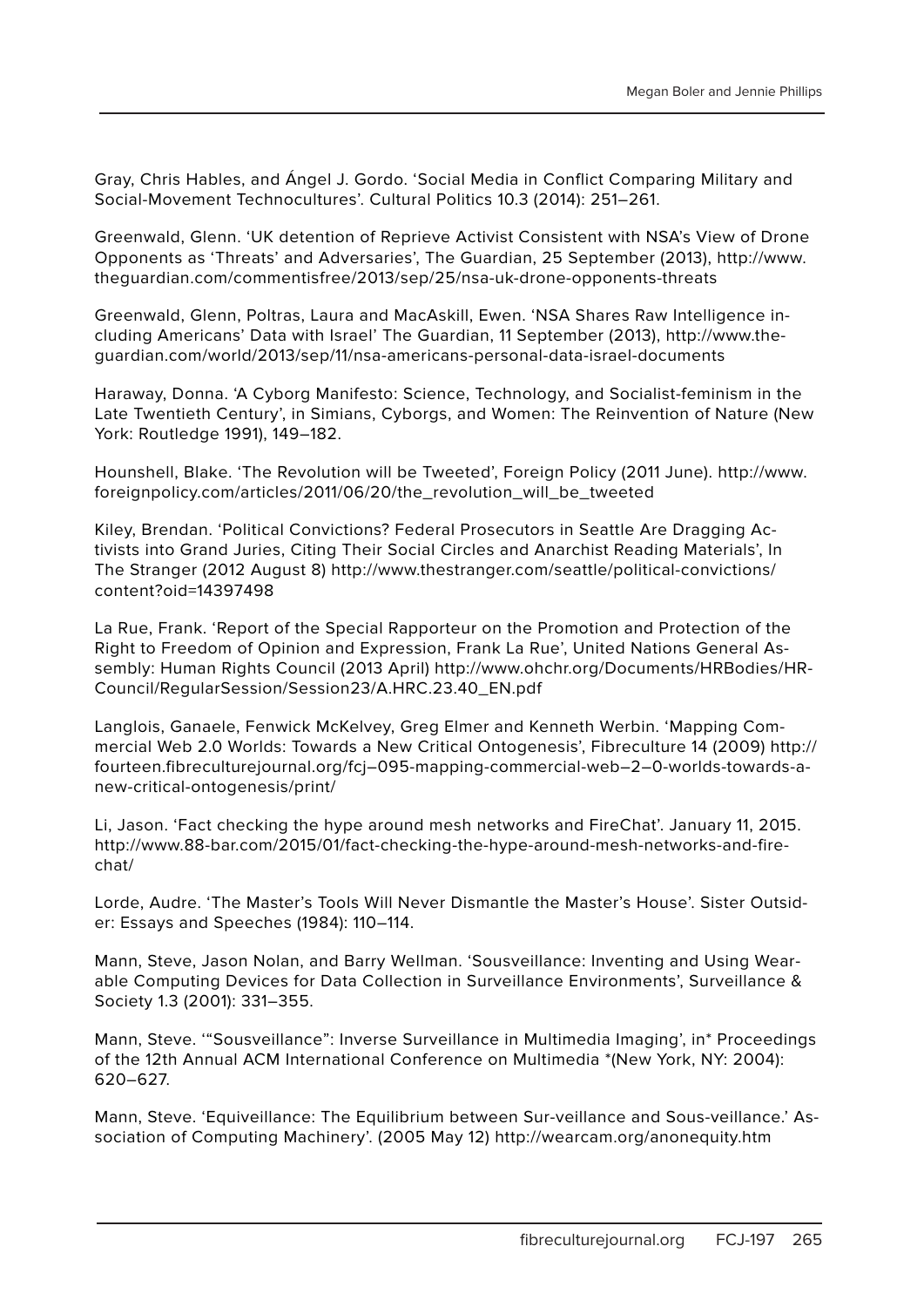Gray, Chris Hables, and Ángel J. Gordo. 'Social Media in Conflict Comparing Military and Social-Movement Technocultures'. Cultural Politics 10.3 (2014): 251–261.

Greenwald, Glenn. 'UK detention of Reprieve Activist Consistent with NSA's View of Drone Opponents as 'Threats' and Adversaries', The Guardian, 25 September (2013), http://www. theguardian.com/commentisfree/2013/sep/25/nsa-uk-drone-opponents-threats

Greenwald, Glenn, Poltras, Laura and MacAskill, Ewen. 'NSA Shares Raw Intelligence including Americans' Data with Israel' The Guardian, 11 September (2013), http://www.theguardian.com/world/2013/sep/11/nsa-americans-personal-data-israel-documents

Haraway, Donna. 'A Cyborg Manifesto: Science, Technology, and Socialist-feminism in the Late Twentieth Century', in Simians, Cyborgs, and Women: The Reinvention of Nature (New York: Routledge 1991), 149–182.

Hounshell, Blake. 'The Revolution will be Tweeted', Foreign Policy (2011 June). http://www. foreignpolicy.com/articles/2011/06/20/the\_revolution\_will\_be\_tweeted

Kiley, Brendan. 'Political Convictions? Federal Prosecutors in Seattle Are Dragging Activists into Grand Juries, Citing Their Social Circles and Anarchist Reading Materials', In The Stranger (2012 August 8) http://www.thestranger.com/seattle/political-convictions/ content?oid=14397498

La Rue, Frank. 'Report of the Special Rapporteur on the Promotion and Protection of the Right to Freedom of Opinion and Expression, Frank La Rue', United Nations General Assembly: Human Rights Council (2013 April) http://www.ohchr.org/Documents/HRBodies/HR-Council/RegularSession/Session23/A.HRC.23.40\_EN.pdf

Langlois, Ganaele, Fenwick McKelvey, Greg Elmer and Kenneth Werbin. 'Mapping Commercial Web 2.0 Worlds: Towards a New Critical Ontogenesis', Fibreculture 14 (2009) http:// fourteen.fibreculturejournal.org/fcj–095-mapping-commercial-web–2–0-worlds-towards-anew-critical-ontogenesis/print/

Li, Jason. 'Fact checking the hype around mesh networks and FireChat'. January 11, 2015. http://www.88-bar.com/2015/01/fact-checking-the-hype-around-mesh-networks-and-firechat/

Lorde, Audre. 'The Master's Tools Will Never Dismantle the Master's House'. Sister Outsider: Essays and Speeches (1984): 110–114.

Mann, Steve, Jason Nolan, and Barry Wellman. 'Sousveillance: Inventing and Using Wearable Computing Devices for Data Collection in Surveillance Environments', Surveillance & Society 1.3 (2001): 331–355.

Mann, Steve. '"Sousveillance": Inverse Surveillance in Multimedia Imaging', in\* Proceedings of the 12th Annual ACM International Conference on Multimedia \*(New York, NY: 2004): 620–627.

Mann, Steve. 'Equiveillance: The Equilibrium between Sur-veillance and Sous-veillance.' Association of Computing Machinery'. (2005 May 12) http://wearcam.org/anonequity.htm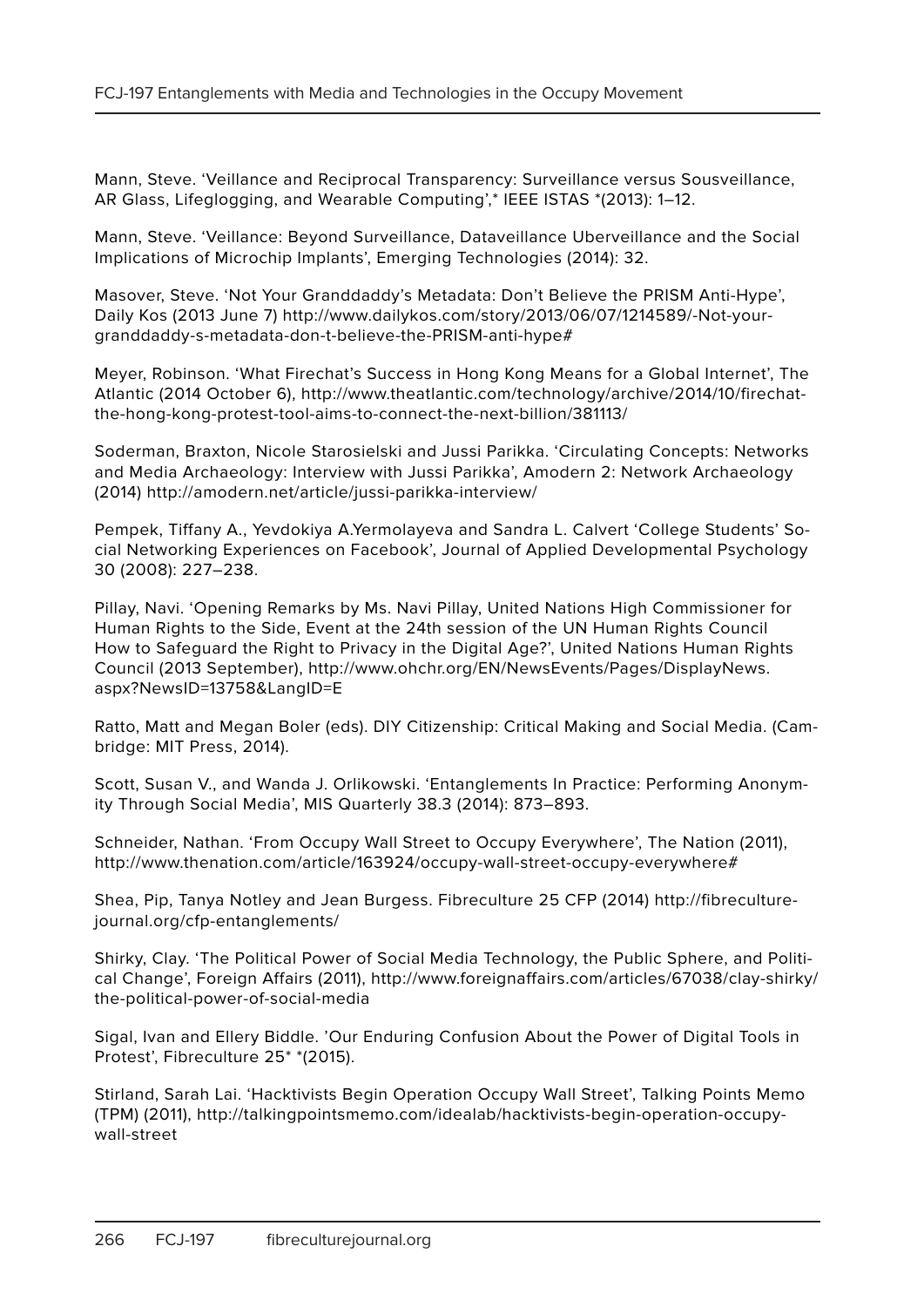Mann, Steve. 'Veillance and Reciprocal Transparency: Surveillance versus Sousveillance, AR Glass, Lifeglogging, and Wearable Computing',\* IEEE ISTAS \*(2013): 1–12.

Mann, Steve. 'Veillance: Beyond Surveillance, Dataveillance Uberveillance and the Social Implications of Microchip Implants', Emerging Technologies (2014): 32.

Masover, Steve. 'Not Your Granddaddy's Metadata: Don't Believe the PRISM Anti-Hype', Daily Kos (2013 June 7) http://www.dailykos.com/story/2013/06/07/1214589/-Not-yourgranddaddy-s-metadata-don-t-believe-the-PRISM-anti-hype#

Meyer, Robinson. 'What Firechat's Success in Hong Kong Means for a Global Internet', The Atlantic (2014 October 6), http://www.theatlantic.com/technology/archive/2014/10/firechatthe-hong-kong-protest-tool-aims-to-connect-the-next-billion/381113/

Soderman, Braxton, Nicole Starosielski and Jussi Parikka. 'Circulating Concepts: Networks and Media Archaeology: Interview with Jussi Parikka', Amodern 2: Network Archaeology (2014) http://amodern.net/article/jussi-parikka-interview/

Pempek, Tiffany A., Yevdokiya A.Yermolayeva and Sandra L. Calvert 'College Students' Social Networking Experiences on Facebook', Journal of Applied Developmental Psychology 30 (2008): 227–238.

Pillay, Navi. 'Opening Remarks by Ms. Navi Pillay, United Nations High Commissioner for Human Rights to the Side, Event at the 24th session of the UN Human Rights Council How to Safeguard the Right to Privacy in the Digital Age?', United Nations Human Rights Council (2013 September), http://www.ohchr.org/EN/NewsEvents/Pages/DisplayNews. aspx?NewsID=13758&LangID=E

Ratto, Matt and Megan Boler (eds). DIY Citizenship: Critical Making and Social Media. (Cambridge: MIT Press, 2014).

Scott, Susan V., and Wanda J. Orlikowski. 'Entanglements In Practice: Performing Anonymity Through Social Media', MIS Quarterly 38.3 (2014): 873–893.

Schneider, Nathan. 'From Occupy Wall Street to Occupy Everywhere', The Nation (2011), http://www.thenation.com/article/163924/occupy-wall-street-occupy-everywhere#

Shea, Pip, Tanya Notley and Jean Burgess. Fibreculture 25 CFP (2014) http://fibreculturejournal.org/cfp-entanglements/

Shirky, Clay. 'The Political Power of Social Media Technology, the Public Sphere, and Political Change', Foreign Affairs (2011), http://www.foreignaffairs.com/articles/67038/clay-shirky/ the-political-power-of-social-media

Sigal, Ivan and Ellery Biddle. 'Our Enduring Confusion About the Power of Digital Tools in Protest', Fibreculture 25\* \*(2015).

Stirland, Sarah Lai. 'Hacktivists Begin Operation Occupy Wall Street', Talking Points Memo (TPM) (2011), http://talkingpointsmemo.com/idealab/hacktivists-begin-operation-occupywall-street